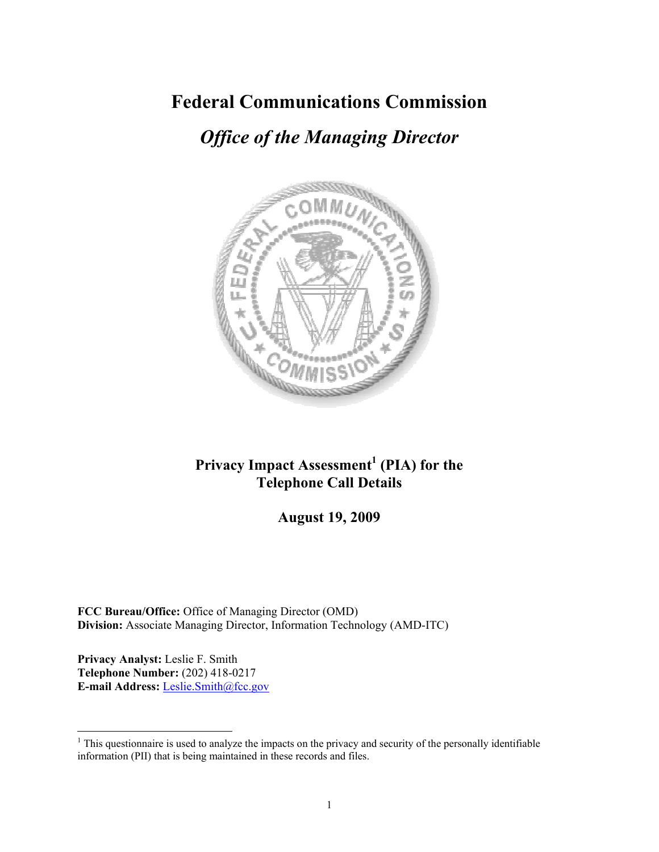## **Federal Communications Commission**

# *Office of the Managing Director*



## **Privacy Impact Assessment<sup>1</sup> (PIA) for the Telephone Call Details**

**August 19, 2009** 

**FCC Bureau/Office:** Office of Managing Director (OMD) **Division:** Associate Managing Director, Information Technology (AMD-ITC)

**Privacy Analyst:** Leslie F. Smith **Telephone Number:** (202) 418-0217 **E-mail Address:** Leslie.Smith@fcc.gov

 $\overline{a}$ 

 $<sup>1</sup>$  This questionnaire is used to analyze the impacts on the privacy and security of the personally identifiable</sup> information (PII) that is being maintained in these records and files.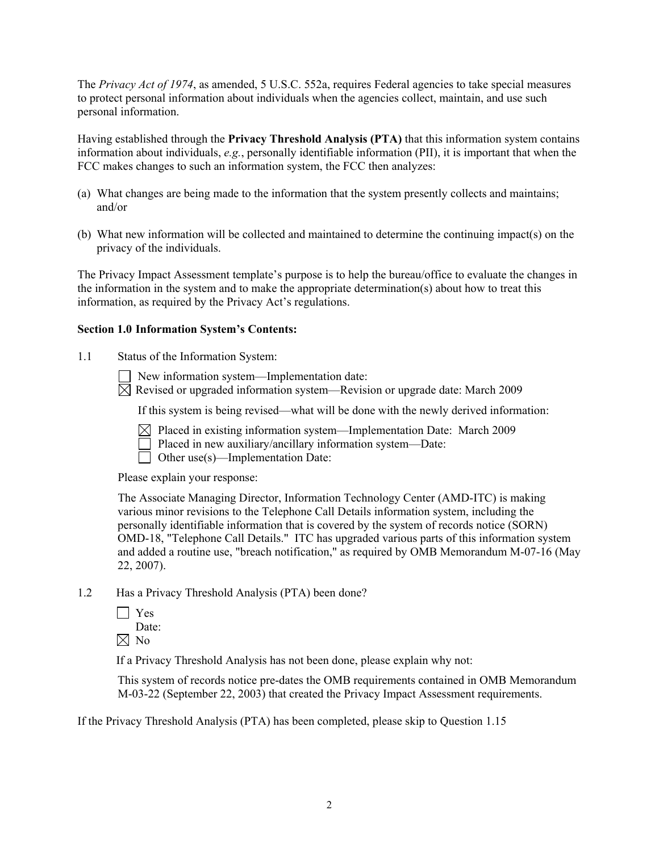The *Privacy Act of 1974*, as amended, 5 U.S.C. 552a, requires Federal agencies to take special measures to protect personal information about individuals when the agencies collect, maintain, and use such personal information.

Having established through the **Privacy Threshold Analysis (PTA)** that this information system contains information about individuals, *e.g.*, personally identifiable information (PII), it is important that when the FCC makes changes to such an information system, the FCC then analyzes:

- (a) What changes are being made to the information that the system presently collects and maintains; and/or
- (b) What new information will be collected and maintained to determine the continuing impact(s) on the privacy of the individuals.

The Privacy Impact Assessment template's purpose is to help the bureau/office to evaluate the changes in the information in the system and to make the appropriate determination(s) about how to treat this information, as required by the Privacy Act's regulations.

#### **Section 1.0 Information System's Contents:**

1.1 Status of the Information System:

New information system—Implementation date:

 $\boxtimes$  Revised or upgraded information system—Revision or upgrade date: March 2009

If this system is being revised—what will be done with the newly derived information:

 $\boxtimes$  Placed in existing information system—Implementation Date: March 2009

Placed in new auxiliary/ancillary information system—Date:

 $\Box$  Other use(s)—Implementation Date:

Please explain your response:

The Associate Managing Director, Information Technology Center (AMD-ITC) is making various minor revisions to the Telephone Call Details information system, including the personally identifiable information that is covered by the system of records notice (SORN) OMD-18, "Telephone Call Details." ITC has upgraded various parts of this information system and added a routine use, "breach notification," as required by OMB Memorandum M-07-16 (May 22, 2007).

1.2 Has a Privacy Threshold Analysis (PTA) been done?

| | Yes Date:

 $\boxtimes$  No

If a Privacy Threshold Analysis has not been done, please explain why not:

 This system of records notice pre-dates the OMB requirements contained in OMB Memorandum M-03-22 (September 22, 2003) that created the Privacy Impact Assessment requirements.

If the Privacy Threshold Analysis (PTA) has been completed, please skip to Question 1.15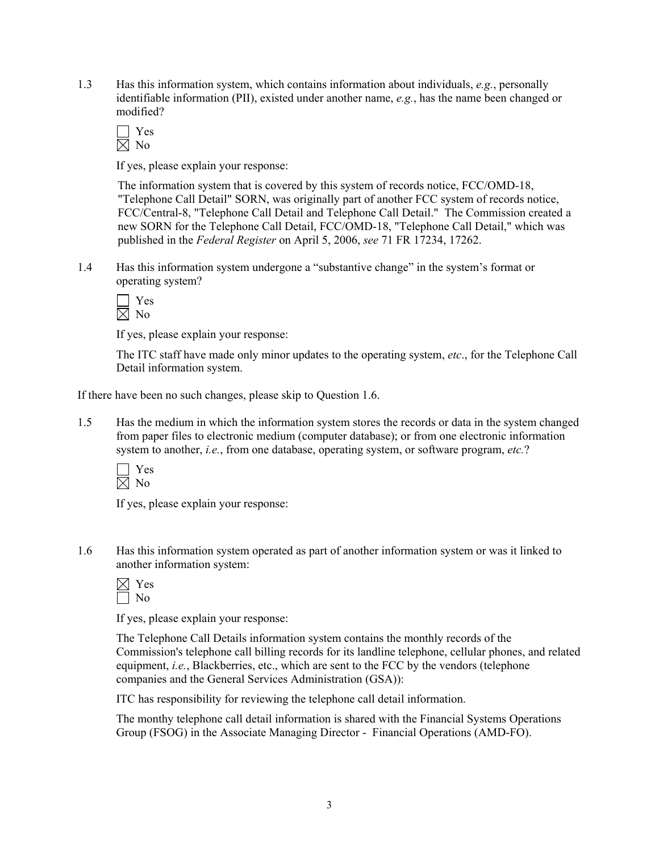1.3 Has this information system, which contains information about individuals, *e.g.*, personally identifiable information (PII), existed under another name, *e.g.*, has the name been changed or modified?

 Yes  $\overline{\boxtimes}$  No

If yes, please explain your response:

 The information system that is covered by this system of records notice, FCC/OMD-18, "Telephone Call Detail" SORN, was originally part of another FCC system of records notice, FCC/Central-8, "Telephone Call Detail and Telephone Call Detail." The Commission created a new SORN for the Telephone Call Detail, FCC/OMD-18, "Telephone Call Detail," which was published in the *Federal Register* on April 5, 2006, *see* 71 FR 17234, 17262.

1.4 Has this information system undergone a "substantive change" in the system's format or operating system?

 Yes  $\overline{\boxtimes}$  No

If yes, please explain your response:

The ITC staff have made only minor updates to the operating system, *etc*., for the Telephone Call Detail information system.

If there have been no such changes, please skip to Question 1.6.

1.5 Has the medium in which the information system stores the records or data in the system changed from paper files to electronic medium (computer database); or from one electronic information system to another, *i.e.*, from one database, operating system, or software program, *etc.*?

 Yes  $\overline{\boxtimes}$  No

If yes, please explain your response:

1.6 Has this information system operated as part of another information system or was it linked to another information system:

If yes, please explain your response:

The Telephone Call Details information system contains the monthly records of the Commission's telephone call billing records for its landline telephone, cellular phones, and related equipment, *i.e.*, Blackberries, etc., which are sent to the FCC by the vendors (telephone companies and the General Services Administration (GSA)):

ITC has responsibility for reviewing the telephone call detail information.

The monthy telephone call detail information is shared with the Financial Systems Operations Group (FSOG) in the Associate Managing Director - Financial Operations (AMD-FO).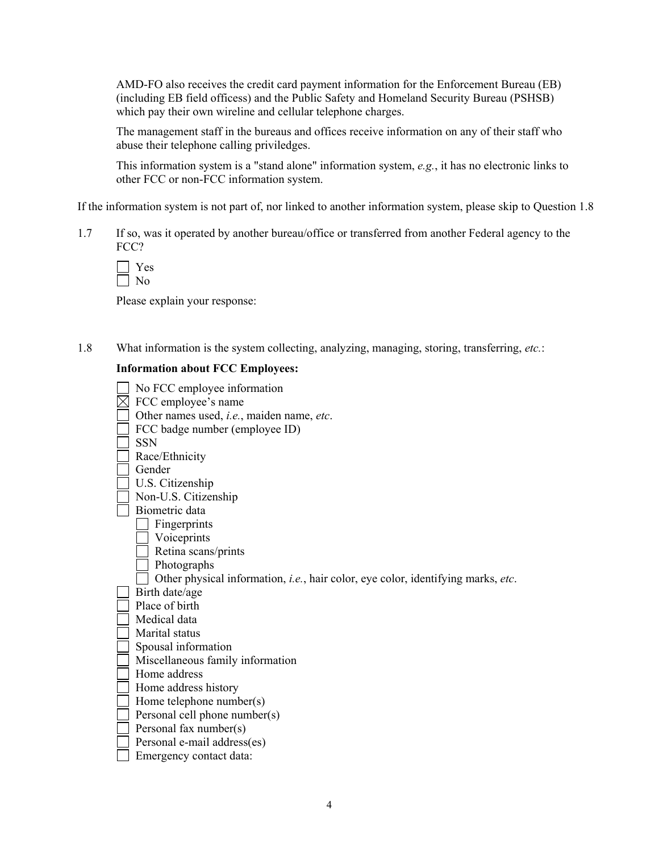AMD-FO also receives the credit card payment information for the Enforcement Bureau (EB) (including EB field officess) and the Public Safety and Homeland Security Bureau (PSHSB) which pay their own wireline and cellular telephone charges.

The management staff in the bureaus and offices receive information on any of their staff who abuse their telephone calling priviledges.

This information system is a "stand alone" information system, *e.g.*, it has no electronic links to other FCC or non-FCC information system.

If the information system is not part of, nor linked to another information system, please skip to Question 1.8

1.7 If so, was it operated by another bureau/office or transferred from another Federal agency to the FCC?

Please explain your response:

1.8 What information is the system collecting, analyzing, managing, storing, transferring, *etc.*:

#### **Information about FCC Employees:**

| No FCC employee information                                                              |
|------------------------------------------------------------------------------------------|
| FCC employee's name                                                                      |
| Other names used, i.e., maiden name, etc.                                                |
| FCC badge number (employee ID)                                                           |
| <b>SSN</b>                                                                               |
| Race/Ethnicity                                                                           |
| Gender                                                                                   |
| U.S. Citizenship                                                                         |
| Non-U.S. Citizenship                                                                     |
| Biometric data                                                                           |
| Fingerprints                                                                             |
| Voiceprints                                                                              |
| Retina scans/prints                                                                      |
| Photographs                                                                              |
| Other physical information, <i>i.e.</i> , hair color, eye color, identifying marks, etc. |
| Birth date/age                                                                           |
| Place of birth                                                                           |
| Medical data                                                                             |
| Marital status                                                                           |
| Spousal information                                                                      |
| Miscellaneous family information                                                         |
| Home address                                                                             |
| Home address history                                                                     |
| Home telephone number(s)                                                                 |
| Personal cell phone number(s)                                                            |
| Personal fax number(s)                                                                   |
| Personal e-mail address(es)                                                              |
| Emergency contact data:                                                                  |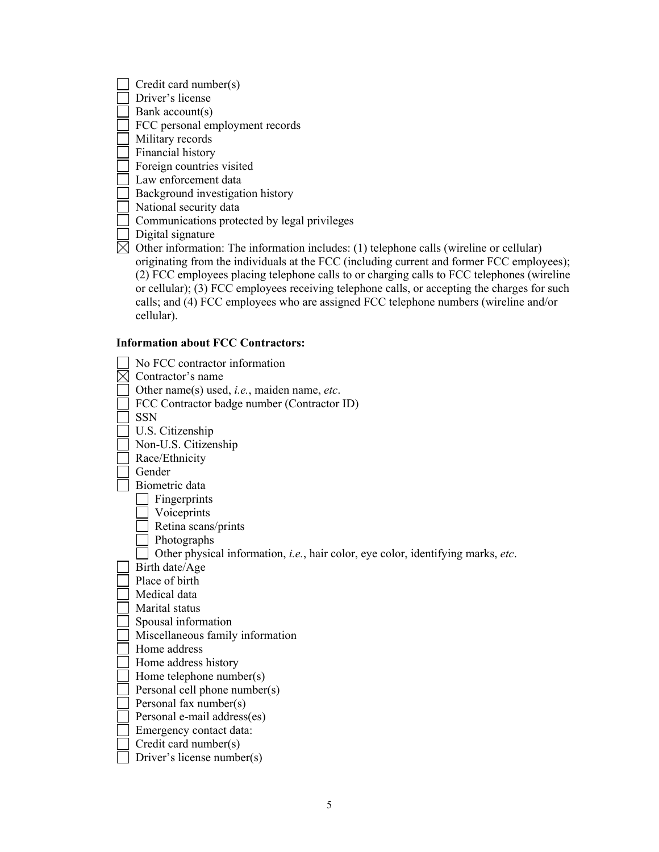Credit card number(s)

Driver's license

Bank account(s)

FCC personal employment records

Military records

Financial history

Foreign countries visited

Law enforcement data

- Background investigation history
- National security data
- Communications protected by legal privileges
- $\Box$  Digital signature

 $\boxtimes$  Other information: The information includes: (1) telephone calls (wireline or cellular) originating from the individuals at the FCC (including current and former FCC employees); (2) FCC employees placing telephone calls to or charging calls to FCC telephones (wireline or cellular); (3) FCC employees receiving telephone calls, or accepting the charges for such calls; and (4) FCC employees who are assigned FCC telephone numbers (wireline and/or cellular).

## **Information about FCC Contractors:**

| No FCC contractor information                                                            |
|------------------------------------------------------------------------------------------|
| Contractor's name                                                                        |
| Other name(s) used, <i>i.e.</i> , maiden name, <i>etc.</i>                               |
| FCC Contractor badge number (Contractor ID)                                              |
| <b>SSN</b>                                                                               |
| U.S. Citizenship                                                                         |
| Non-U.S. Citizenship                                                                     |
| Race/Ethnicity                                                                           |
| Gender                                                                                   |
| Biometric data                                                                           |
| Fingerprints                                                                             |
| Voiceprints                                                                              |
| Retina scans/prints                                                                      |
| Photographs                                                                              |
| Other physical information, <i>i.e.</i> , hair color, eye color, identifying marks, etc. |
| Birth date/Age                                                                           |
| Place of birth                                                                           |
| Medical data                                                                             |
| Marital status                                                                           |
| Spousal information                                                                      |
| Miscellaneous family information                                                         |
| Home address                                                                             |
| Home address history                                                                     |
| Home telephone number(s)                                                                 |
| Personal cell phone number(s)                                                            |
| Personal fax number(s)                                                                   |
| Personal e-mail address(es)                                                              |
| Emergency contact data:                                                                  |
| Credit card number(s)                                                                    |
| Driver's license number(s)                                                               |
|                                                                                          |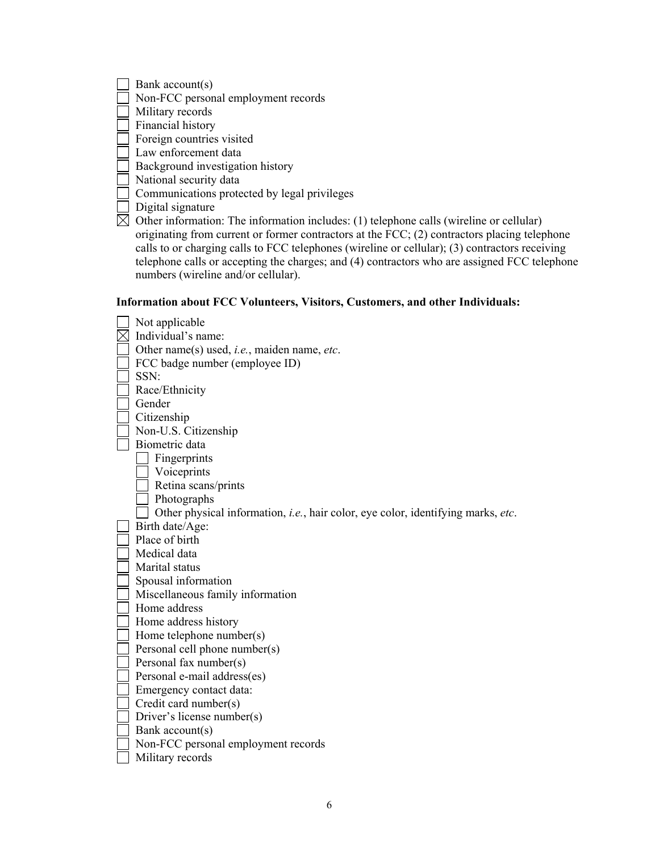Bank account(s)

Non-FCC personal employment records

Military records

Financial history

Foreign countries visited

Law enforcement data

Background investigation history

National security data

 $\Box$  Communications protected by legal privileges

 $\Box$  Digital signature

 $\overline{\boxtimes}$  Other information: The information includes: (1) telephone calls (wireline or cellular) originating from current or former contractors at the FCC; (2) contractors placing telephone calls to or charging calls to FCC telephones (wireline or cellular); (3) contractors receiving telephone calls or accepting the charges; and (4) contractors who are assigned FCC telephone numbers (wireline and/or cellular).

## **Information about FCC Volunteers, Visitors, Customers, and other Individuals:**

| Not applicable                                                                           |
|------------------------------------------------------------------------------------------|
| Individual's name:                                                                       |
| Other name(s) used, i.e., maiden name, etc.                                              |
| FCC badge number (employee ID)                                                           |
| SSN:                                                                                     |
| Race/Ethnicity                                                                           |
| Gender                                                                                   |
| Citizenship                                                                              |
| Non-U.S. Citizenship                                                                     |
| Biometric data                                                                           |
| Fingerprints                                                                             |
| Voiceprints                                                                              |
| Retina scans/prints                                                                      |
| Photographs                                                                              |
| Other physical information, <i>i.e.</i> , hair color, eye color, identifying marks, etc. |
| Birth date/Age:                                                                          |
| Place of birth                                                                           |
| Medical data                                                                             |
| Marital status                                                                           |
| Spousal information                                                                      |
| Miscellaneous family information                                                         |
| Home address                                                                             |
| Home address history                                                                     |
| Home telephone number(s)                                                                 |
| Personal cell phone number(s)                                                            |
| Personal fax number(s)                                                                   |
| Personal e-mail address(es)                                                              |
| Emergency contact data:                                                                  |
| Credit card number(s)                                                                    |
| Driver's license number(s)                                                               |
| Bank account(s)                                                                          |
| Non-FCC personal employment records                                                      |
| Military records                                                                         |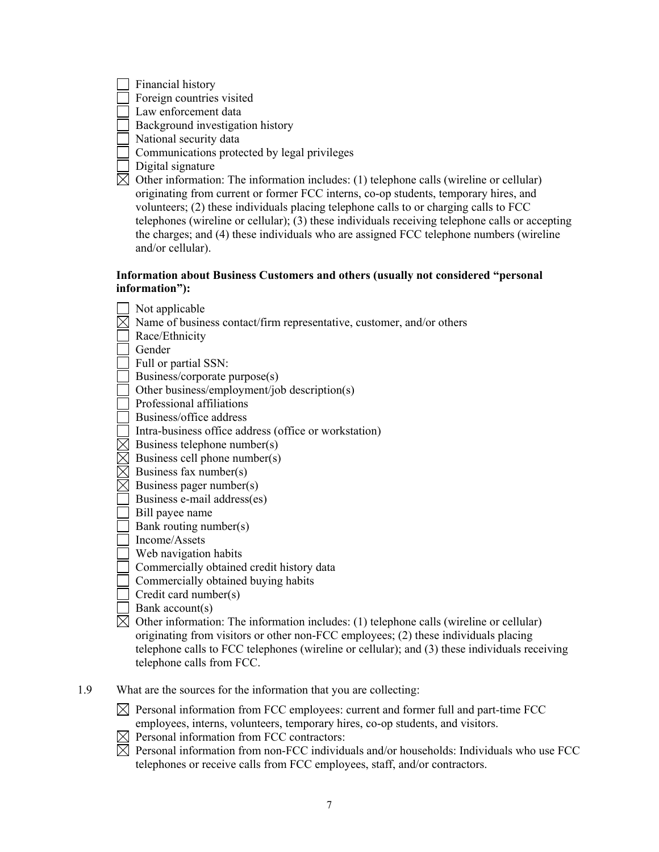Financial history

Foreign countries visited

Law enforcement data

Background investigation history

National security data

Communications protected by legal privileges

 $\Box$  Digital signature

 $\boxtimes$  Other information: The information includes: (1) telephone calls (wireline or cellular) originating from current or former FCC interns, co-op students, temporary hires, and volunteers; (2) these individuals placing telephone calls to or charging calls to FCC telephones (wireline or cellular); (3) these individuals receiving telephone calls or accepting the charges; and (4) these individuals who are assigned FCC telephone numbers (wireline and/or cellular).

## **Information about Business Customers and others (usually not considered "personal information"):**

|             | Not applicable                                                                                |
|-------------|-----------------------------------------------------------------------------------------------|
|             | Name of business contact/firm representative, customer, and/or others                         |
|             | Race/Ethnicity                                                                                |
|             | Gender                                                                                        |
|             | Full or partial SSN:                                                                          |
|             | Business/corporate purpose(s)                                                                 |
|             | Other business/employment/job description(s)                                                  |
|             | Professional affiliations                                                                     |
|             | Business/office address                                                                       |
|             | Intra-business office address (office or workstation)                                         |
|             | Business telephone number(s)                                                                  |
|             | Business cell phone number(s)                                                                 |
| $\boxtimes$ | Business fax number(s)                                                                        |
| $\boxtimes$ | Business pager number(s)                                                                      |
|             | Business e-mail address(es)                                                                   |
|             | Bill payee name                                                                               |
|             | Bank routing number(s)                                                                        |
|             | Income/Assets                                                                                 |
|             | Web navigation habits                                                                         |
|             | Commercially obtained credit history data                                                     |
|             | Commercially obtained buying habits                                                           |
|             | Credit card number(s)                                                                         |
|             | Bank account(s)                                                                               |
| $\boxtimes$ | Other information: The information includes: (1) telephone calls (wireline or cellular)       |
|             | originating from visitors or other non-FCC employees; (2) these individuals placing           |
|             | telephone calls to FCC telephones (wireline or cellular); and (3) these individuals receiving |
|             | telephone calls from FCC.                                                                     |

1.9 What are the sources for the information that you are collecting:

- $\boxtimes$  Personal information from FCC employees: current and former full and part-time FCC employees, interns, volunteers, temporary hires, co-op students, and visitors.
- Personal information from FCC contractors:
- Personal information from non-FCC individuals and/or households: Individuals who use FCC telephones or receive calls from FCC employees, staff, and/or contractors.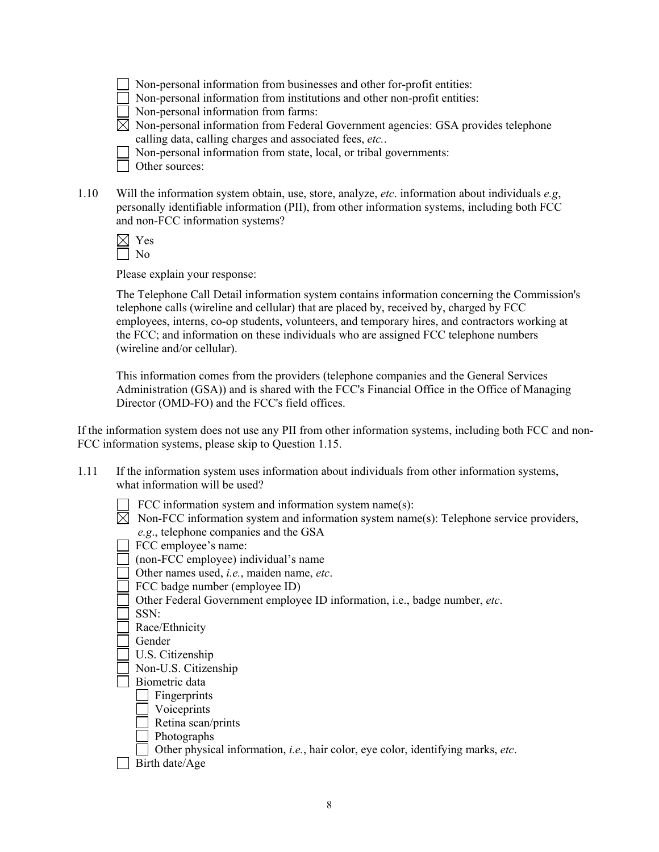|  |  |  |  |  |  |  | Non-personal information from businesses and other for-profit entities: |
|--|--|--|--|--|--|--|-------------------------------------------------------------------------|
|--|--|--|--|--|--|--|-------------------------------------------------------------------------|

Non-personal information from institutions and other non-profit entities:

Non-personal information from farms:

 $\boxtimes$  Non-personal information from Federal Government agencies: GSA provides telephone calling data, calling charges and associated fees, *etc.*.

 $\Box$  Non-personal information from state, local, or tribal governments:

Other sources:

1.10 Will the information system obtain, use, store, analyze, *etc*. information about individuals *e.g*, personally identifiable information (PII), from other information systems, including both FCC and non-FCC information systems?

Please explain your response:

The Telephone Call Detail information system contains information concerning the Commission's telephone calls (wireline and cellular) that are placed by, received by, charged by FCC employees, interns, co-op students, volunteers, and temporary hires, and contractors working at the FCC; and information on these individuals who are assigned FCC telephone numbers (wireline and/or cellular).

This information comes from the providers (telephone companies and the General Services Administration (GSA)) and is shared with the FCC's Financial Office in the Office of Managing Director (OMD-FO) and the FCC's field offices.

If the information system does not use any PII from other information systems, including both FCC and non-FCC information systems, please skip to Question 1.15.

1.11 If the information system uses information about individuals from other information systems, what information will be used?

| $\exists$ FCC information system and information system name(s): |  |  |  |  |
|------------------------------------------------------------------|--|--|--|--|
|                                                                  |  |  |  |  |

 Non-FCC information system and information system name(s): Telephone service providers, *e.g*., telephone companies and the GSA

FCC employee's name:

- (non-FCC employee) individual's name
- Other names used, *i.e.*, maiden name, *etc*.
- FCC badge number (employee ID)
- Other Federal Government employee ID information, i.e., badge number, *etc*.

SSN:

- Race/Ethnicity
- Gender
- U.S. Citizenship
- Non-U.S. Citizenship
- Biometric data
	- **Fingerprints**
	- Voiceprints
	- Retina scan/prints
	- Photographs
	- Other physical information, *i.e.*, hair color, eye color, identifying marks, *etc*.
- $\Box$  Birth date/Age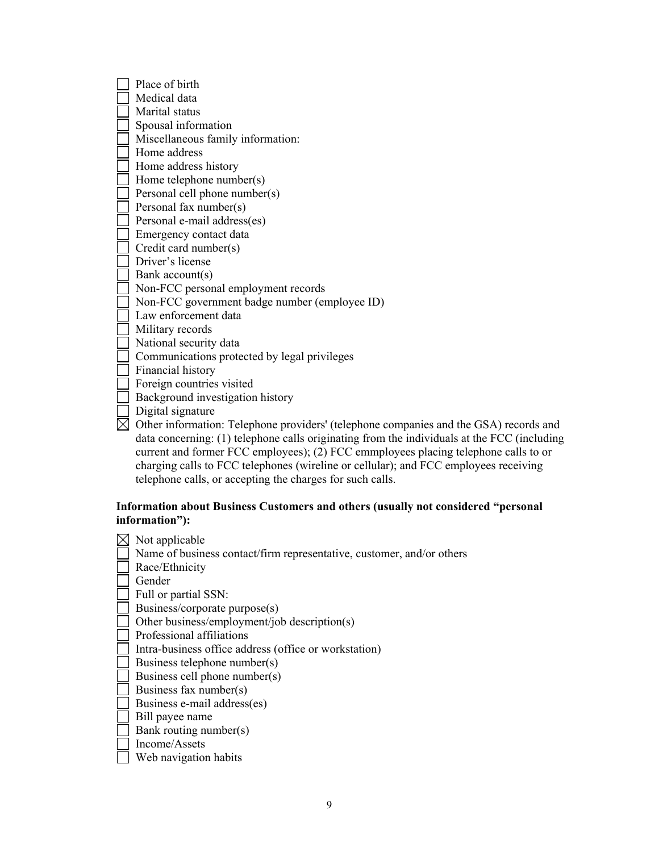|             | Place of birth                                                                              |
|-------------|---------------------------------------------------------------------------------------------|
|             | Medical data                                                                                |
|             | Marital status                                                                              |
|             | Spousal information                                                                         |
|             | Miscellaneous family information:                                                           |
|             | Home address                                                                                |
|             | Home address history                                                                        |
|             | Home telephone number(s)                                                                    |
|             | Personal cell phone number(s)                                                               |
|             | Personal fax number(s)                                                                      |
|             | Personal e-mail address(es)                                                                 |
|             | Emergency contact data                                                                      |
|             | Credit card number(s)                                                                       |
|             | Driver's license                                                                            |
|             | Bank account(s)                                                                             |
|             | Non-FCC personal employment records                                                         |
|             | Non-FCC government badge number (employee ID)                                               |
|             | Law enforcement data                                                                        |
|             | Military records                                                                            |
|             | National security data                                                                      |
|             | Communications protected by legal privileges                                                |
|             | Financial history                                                                           |
|             | Foreign countries visited                                                                   |
|             | Background investigation history                                                            |
|             | Digital signature                                                                           |
| $\boxtimes$ | Other information: Telephone providers' (telephone companies and the GSA) records and       |
|             | data concerning: (1) telephone calls originating from the individuals at the FCC (including |
|             | current and former FCC employees); (2) FCC emmployees placing telephone calls to or         |
|             | charging calls to FCC telephones (wireline or cellular); and FCC employees receiving        |
|             | telephone calls, or accepting the charges for such calls.                                   |

## **Information about Business Customers and others (usually not considered "personal information"):**

| Not applicable                                                        |
|-----------------------------------------------------------------------|
| Name of business contact/firm representative, customer, and/or others |
| Race/Ethnicity                                                        |
| Gender                                                                |
| Full or partial SSN:                                                  |
| Business/corporate purpose(s)                                         |
| Other business/employment/job description(s)                          |
| Professional affiliations                                             |
| Intra-business office address (office or workstation)                 |
| Business telephone number(s)                                          |
| Business cell phone number(s)                                         |
| Business fax number(s)                                                |
| Business e-mail address(es)                                           |
| Bill payee name                                                       |
| Bank routing number(s)                                                |
| Income/Assets                                                         |
| Web navigation habits                                                 |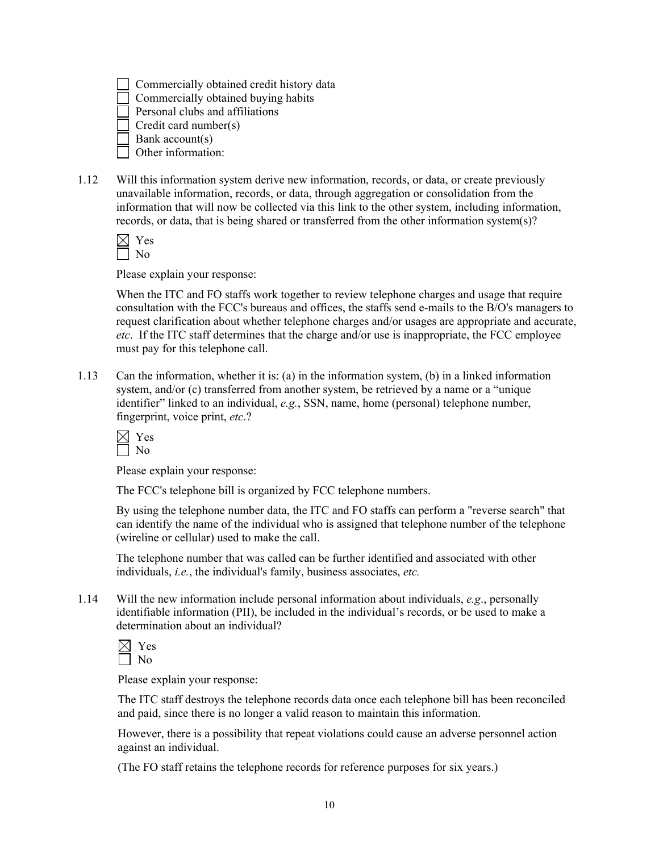Commercially obtained credit history data

Commercially obtained buying habits

Personal clubs and affiliations

 $\Box$  Credit card number(s)

Bank account(s)

Other information:

1.12 Will this information system derive new information, records, or data, or create previously unavailable information, records, or data, through aggregation or consolidation from the information that will now be collected via this link to the other system, including information, records, or data, that is being shared or transferred from the other information system(s)?

Please explain your response:

When the ITC and FO staffs work together to review telephone charges and usage that require consultation with the FCC's bureaus and offices, the staffs send e-mails to the B/O's managers to request clarification about whether telephone charges and/or usages are appropriate and accurate, *etc*. If the ITC staff determines that the charge and/or use is inappropriate, the FCC employee must pay for this telephone call.

1.13 Can the information, whether it is: (a) in the information system, (b) in a linked information system, and/or (c) transferred from another system, be retrieved by a name or a "unique identifier" linked to an individual, *e.g.*, SSN, name, home (personal) telephone number, fingerprint, voice print, *etc*.?

Please explain your response:

The FCC's telephone bill is organized by FCC telephone numbers.

By using the telephone number data, the ITC and FO staffs can perform a "reverse search" that can identify the name of the individual who is assigned that telephone number of the telephone (wireline or cellular) used to make the call.

The telephone number that was called can be further identified and associated with other individuals, *i.e.*, the individual's family, business associates, *etc.*

1.14 Will the new information include personal information about individuals, *e.g*., personally identifiable information (PII), be included in the individual's records, or be used to make a determination about an individual?

| c |
|---|
|   |

Please explain your response:

The ITC staff destroys the telephone records data once each telephone bill has been reconciled and paid, since there is no longer a valid reason to maintain this information.

However, there is a possibility that repeat violations could cause an adverse personnel action against an individual.

(The FO staff retains the telephone records for reference purposes for six years.)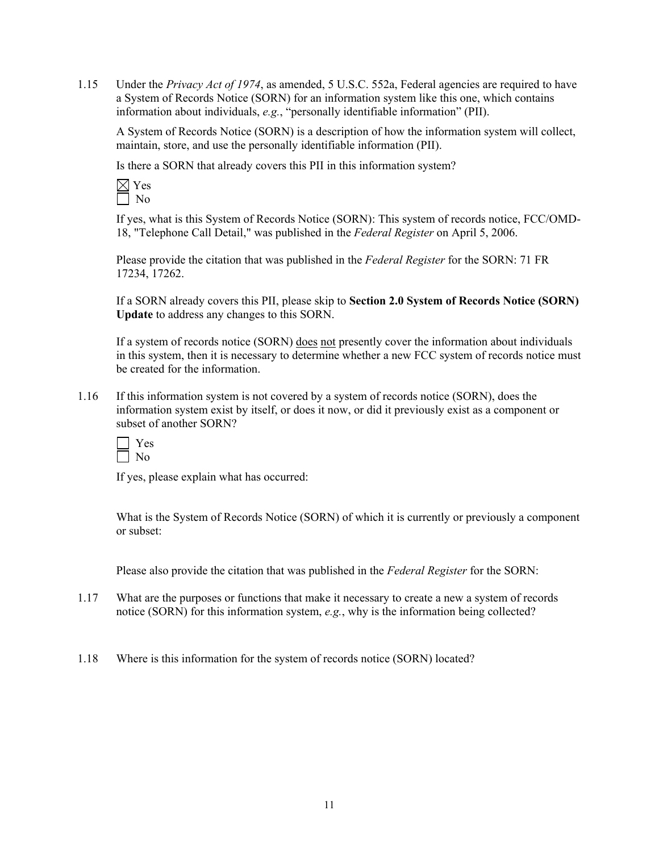1.15 Under the *Privacy Act of 1974*, as amended, 5 U.S.C. 552a, Federal agencies are required to have a System of Records Notice (SORN) for an information system like this one, which contains information about individuals, *e.g.*, "personally identifiable information" (PII).

A System of Records Notice (SORN) is a description of how the information system will collect, maintain, store, and use the personally identifiable information (PII).

Is there a SORN that already covers this PII in this information system?

If yes, what is this System of Records Notice (SORN): This system of records notice, FCC/OMD-18, "Telephone Call Detail," was published in the *Federal Register* on April 5, 2006.

Please provide the citation that was published in the *Federal Register* for the SORN: 71 FR 17234, 17262.

If a SORN already covers this PII, please skip to **Section 2.0 System of Records Notice (SORN) Update** to address any changes to this SORN.

If a system of records notice (SORN) does not presently cover the information about individuals in this system, then it is necessary to determine whether a new FCC system of records notice must be created for the information.

1.16 If this information system is not covered by a system of records notice (SORN), does the information system exist by itself, or does it now, or did it previously exist as a component or subset of another SORN?

If yes, please explain what has occurred:

What is the System of Records Notice (SORN) of which it is currently or previously a component or subset:

Please also provide the citation that was published in the *Federal Register* for the SORN:

- 1.17 What are the purposes or functions that make it necessary to create a new a system of records notice (SORN) for this information system, *e.g.*, why is the information being collected?
- 1.18 Where is this information for the system of records notice (SORN) located?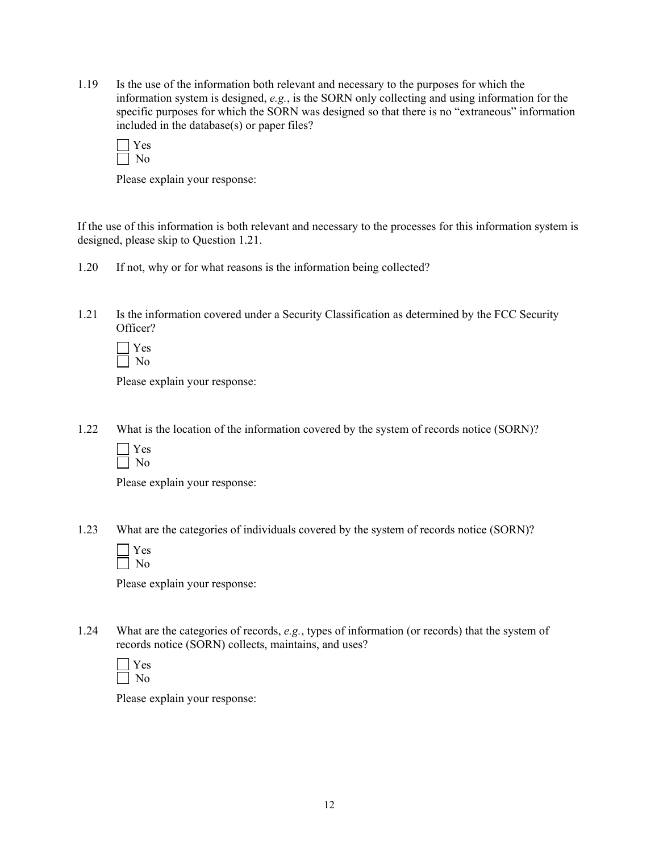1.19 Is the use of the information both relevant and necessary to the purposes for which the information system is designed, *e.g.*, is the SORN only collecting and using information for the specific purposes for which the SORN was designed so that there is no "extraneous" information included in the database(s) or paper files?

Please explain your response:

If the use of this information is both relevant and necessary to the processes for this information system is designed, please skip to Question 1.21.

- 1.20 If not, why or for what reasons is the information being collected?
- 1.21 Is the information covered under a Security Classification as determined by the FCC Security Officer?

 Yes No

Please explain your response:

1.22 What is the location of the information covered by the system of records notice (SORN)?

Please explain your response:

1.23 What are the categories of individuals covered by the system of records notice (SORN)?

Please explain your response:

1.24 What are the categories of records, *e.g.*, types of information (or records) that the system of records notice (SORN) collects, maintains, and uses?

Please explain your response: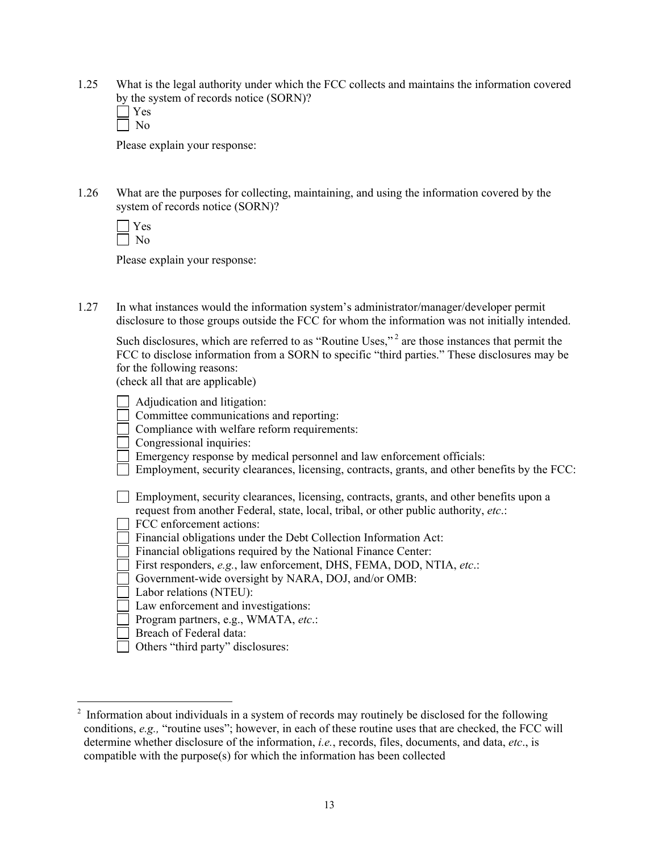1.25 What is the legal authority under which the FCC collects and maintains the information covered by the system of records notice (SORN)? ۲ T

Please explain your response:

1.26 What are the purposes for collecting, maintaining, and using the information covered by the system of records notice (SORN)?

Please explain your response:

1.27 In what instances would the information system's administrator/manager/developer permit disclosure to those groups outside the FCC for whom the information was not initially intended.

Such disclosures, which are referred to as "Routine Uses,"<sup>2</sup> are those instances that permit the FCC to disclose information from a SORN to specific "third parties." These disclosures may be for the following reasons:

(check all that are applicable)

| Adjudication and litigation: |  |
|------------------------------|--|
|------------------------------|--|

Committee communications and reporting:

Compliance with welfare reform requirements:

 $\Box$  Congressional inquiries:

Emergency response by medical personnel and law enforcement officials:

|  |  | Employment, security clearances, licensing, contracts, grants, and other benefits by the FCC: |  |  |  |  |  |
|--|--|-----------------------------------------------------------------------------------------------|--|--|--|--|--|
|  |  |                                                                                               |  |  |  |  |  |

 Employment, security clearances, licensing, contracts, grants, and other benefits upon a request from another Federal, state, local, tribal, or other public authority, *etc*.:

- FCC enforcement actions:
- Financial obligations under the Debt Collection Information Act:
- Financial obligations required by the National Finance Center:
- First responders, *e.g.*, law enforcement, DHS, FEMA, DOD, NTIA, *etc*.:
- Government-wide oversight by NARA, DOJ, and/or OMB:
- Labor relations (NTEU):
- Law enforcement and investigations:
- Program partners, e.g., WMATA, *etc*.:
- **Breach of Federal data:**

 $\overline{a}$ 

Others "third party" disclosures:

<sup>2</sup> Information about individuals in a system of records may routinely be disclosed for the following conditions, *e.g.,* "routine uses"; however, in each of these routine uses that are checked, the FCC will determine whether disclosure of the information, *i.e.*, records, files, documents, and data, *etc*., is compatible with the purpose(s) for which the information has been collected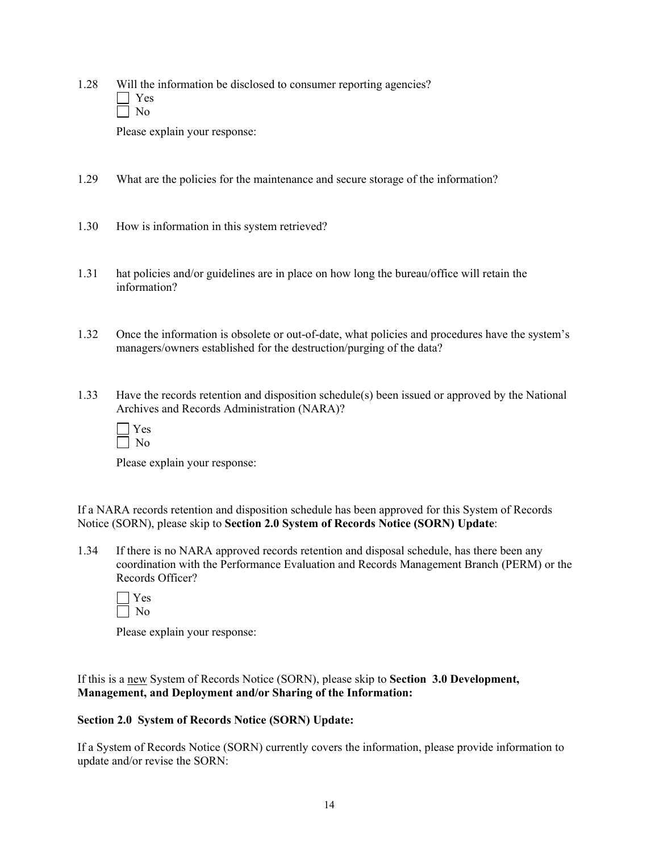1.28 Will the information be disclosed to consumer reporting agencies? Yes No

Please explain your response:

- 1.29 What are the policies for the maintenance and secure storage of the information?
- 1.30 How is information in this system retrieved?
- 1.31 hat policies and/or guidelines are in place on how long the bureau/office will retain the information?
- 1.32 Once the information is obsolete or out-of-date, what policies and procedures have the system's managers/owners established for the destruction/purging of the data?
- 1.33 Have the records retention and disposition schedule(s) been issued or approved by the National Archives and Records Administration (NARA)?

Please explain your response:

If a NARA records retention and disposition schedule has been approved for this System of Records Notice (SORN), please skip to **Section 2.0 System of Records Notice (SORN) Update**:

1.34 If there is no NARA approved records retention and disposal schedule, has there been any coordination with the Performance Evaluation and Records Management Branch (PERM) or the Records Officer?

Please explain your response:

If this is a new System of Records Notice (SORN), please skip to **Section 3.0 Development, Management, and Deployment and/or Sharing of the Information:** 

#### **Section 2.0 System of Records Notice (SORN) Update:**

If a System of Records Notice (SORN) currently covers the information, please provide information to update and/or revise the SORN: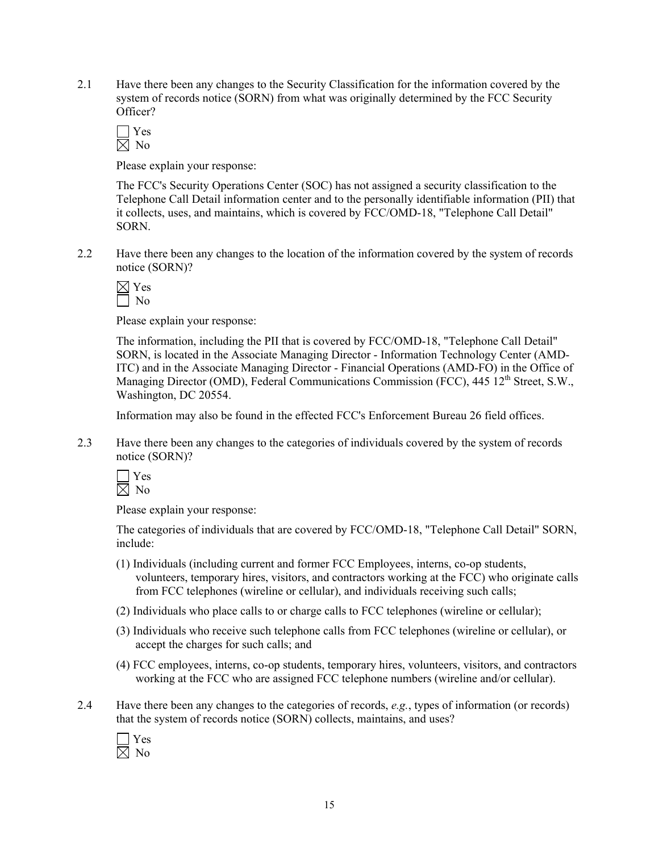2.1 Have there been any changes to the Security Classification for the information covered by the system of records notice (SORN) from what was originally determined by the FCC Security Officer?

 Yes  $\bar{\boxtimes}$  No

Please explain your response:

 The FCC's Security Operations Center (SOC) has not assigned a security classification to the Telephone Call Detail information center and to the personally identifiable information (PII) that it collects, uses, and maintains, which is covered by FCC/OMD-18, "Telephone Call Detail" SORN.

2.2 Have there been any changes to the location of the information covered by the system of records notice (SORN)?

Please explain your response:

The information, including the PII that is covered by FCC/OMD-18, "Telephone Call Detail" SORN, is located in the Associate Managing Director - Information Technology Center (AMD-ITC) and in the Associate Managing Director - Financial Operations (AMD-FO) in the Office of Managing Director (OMD), Federal Communications Commission (FCC), 445 12<sup>th</sup> Street, S.W., Washington, DC 20554.

Information may also be found in the effected FCC's Enforcement Bureau 26 field offices.

2.3 Have there been any changes to the categories of individuals covered by the system of records notice (SORN)?



Please explain your response:

The categories of individuals that are covered by FCC/OMD-18, "Telephone Call Detail" SORN, include:

- (1) Individuals (including current and former FCC Employees, interns, co-op students, volunteers, temporary hires, visitors, and contractors working at the FCC) who originate calls from FCC telephones (wireline or cellular), and individuals receiving such calls;
- (2) Individuals who place calls to or charge calls to FCC telephones (wireline or cellular);
- (3) Individuals who receive such telephone calls from FCC telephones (wireline or cellular), or accept the charges for such calls; and
- (4) FCC employees, interns, co-op students, temporary hires, volunteers, visitors, and contractors working at the FCC who are assigned FCC telephone numbers (wireline and/or cellular).
- 2.4 Have there been any changes to the categories of records, *e.g.*, types of information (or records) that the system of records notice (SORN) collects, maintains, and uses?

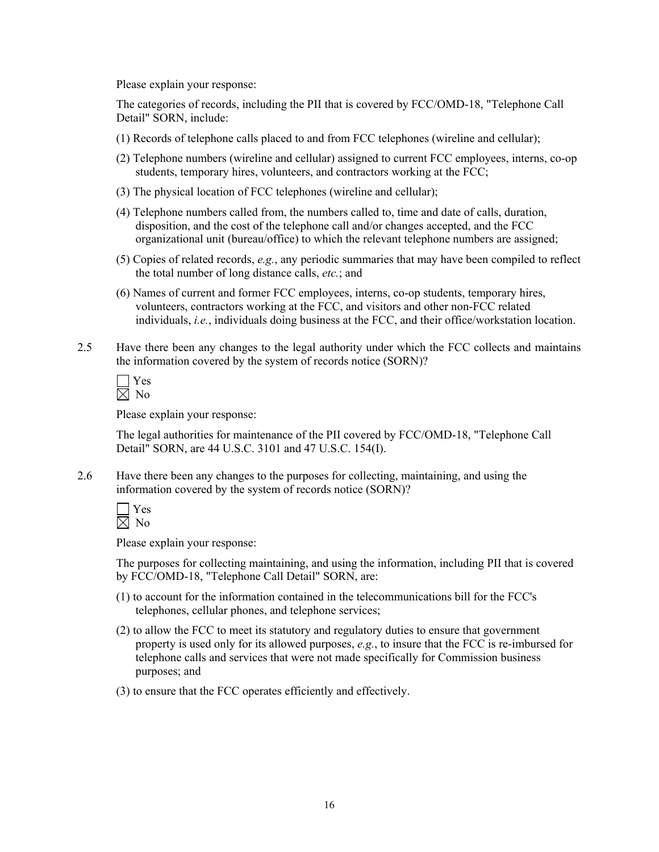Please explain your response:

The categories of records, including the PII that is covered by FCC/OMD-18, "Telephone Call Detail" SORN, include:

- (1) Records of telephone calls placed to and from FCC telephones (wireline and cellular);
- (2) Telephone numbers (wireline and cellular) assigned to current FCC employees, interns, co-op students, temporary hires, volunteers, and contractors working at the FCC;
- (3) The physical location of FCC telephones (wireline and cellular);
- (4) Telephone numbers called from, the numbers called to, time and date of calls, duration, disposition, and the cost of the telephone call and/or changes accepted, and the FCC organizational unit (bureau/office) to which the relevant telephone numbers are assigned;
- (5) Copies of related records, *e.g.*, any periodic summaries that may have been compiled to reflect the total number of long distance calls, *etc.*; and
- (6) Names of current and former FCC employees, interns, co-op students, temporary hires, volunteers, contractors working at the FCC, and visitors and other non-FCC related individuals, *i.e.*, individuals doing business at the FCC, and their office/workstation location.
- 2.5 Have there been any changes to the legal authority under which the FCC collects and maintains the information covered by the system of records notice (SORN)?

 Yes  $\overline{\boxtimes}$  No

Please explain your response:

 The legal authorities for maintenance of the PII covered by FCC/OMD-18, "Telephone Call Detail" SORN, are 44 U.S.C. 3101 and 47 U.S.C. 154(I).

2.6 Have there been any changes to the purposes for collecting, maintaining, and using the information covered by the system of records notice (SORN)?

Please explain your response:

The purposes for collecting maintaining, and using the information, including PII that is covered by FCC/OMD-18, "Telephone Call Detail" SORN, are:

- (1) to account for the information contained in the telecommunications bill for the FCC's telephones, cellular phones, and telephone services;
- (2) to allow the FCC to meet its statutory and regulatory duties to ensure that government property is used only for its allowed purposes, *e.g.*, to insure that the FCC is re-imbursed for telephone calls and services that were not made specifically for Commission business purposes; and
- (3) to ensure that the FCC operates efficiently and effectively.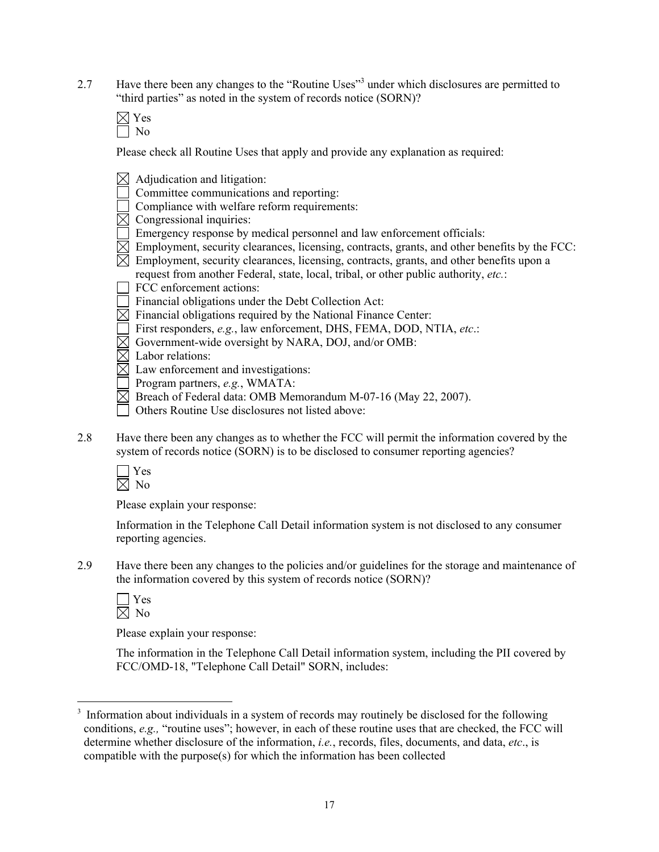2.7 Have there been any changes to the "Routine Uses"<sup>3</sup> under which disclosures are permitted to "third parties" as noted in the system of records notice (SORN)?

 $\boxtimes$  Yes  $\Box$  No

Please check all Routine Uses that apply and provide any explanation as required:

 $\boxtimes$  Adjudication and litigation:

Committee communications and reporting:

Compliance with welfare reform requirements:

 $\boxtimes$  Congressional inquiries:

Emergency response by medical personnel and law enforcement officials:

 $\overline{\boxtimes}$  Employment, security clearances, licensing, contracts, grants, and other benefits by the FCC:

 $\boxtimes$  Employment, security clearances, licensing, contracts, grants, and other benefits upon a

request from another Federal, state, local, tribal, or other public authority, *etc.*:

FCC enforcement actions:

Financial obligations under the Debt Collection Act:

 $\boxtimes$  Financial obligations required by the National Finance Center:

First responders, *e.g.*, law enforcement, DHS, FEMA, DOD, NTIA, *etc*.:

 $\overline{\boxtimes}$  Government-wide oversight by NARA, DOJ, and/or OMB:

 $\overline{\boxtimes}$  Labor relations:

 $\overline{\boxtimes}$  Law enforcement and investigations:

Program partners, *e.g.*, WMATA:

 $\boxtimes$  Breach of Federal data: OMB Memorandum M-07-16 (May 22, 2007).

 $\Box$  Others Routine Use disclosures not listed above:

2.8 Have there been any changes as to whether the FCC will permit the information covered by the system of records notice (SORN) is to be disclosed to consumer reporting agencies?

 $\Box$  Yes  $\overline{\boxtimes}$  No

Please explain your response:

Information in the Telephone Call Detail information system is not disclosed to any consumer reporting agencies.

2.9 Have there been any changes to the policies and/or guidelines for the storage and maintenance of the information covered by this system of records notice (SORN)?



 $\overline{a}$ 

Please explain your response:

The information in the Telephone Call Detail information system, including the PII covered by FCC/OMD-18, "Telephone Call Detail" SORN, includes:

<sup>3</sup> Information about individuals in a system of records may routinely be disclosed for the following conditions, *e.g.,* "routine uses"; however, in each of these routine uses that are checked, the FCC will determine whether disclosure of the information, *i.e.*, records, files, documents, and data, *etc*., is compatible with the purpose(s) for which the information has been collected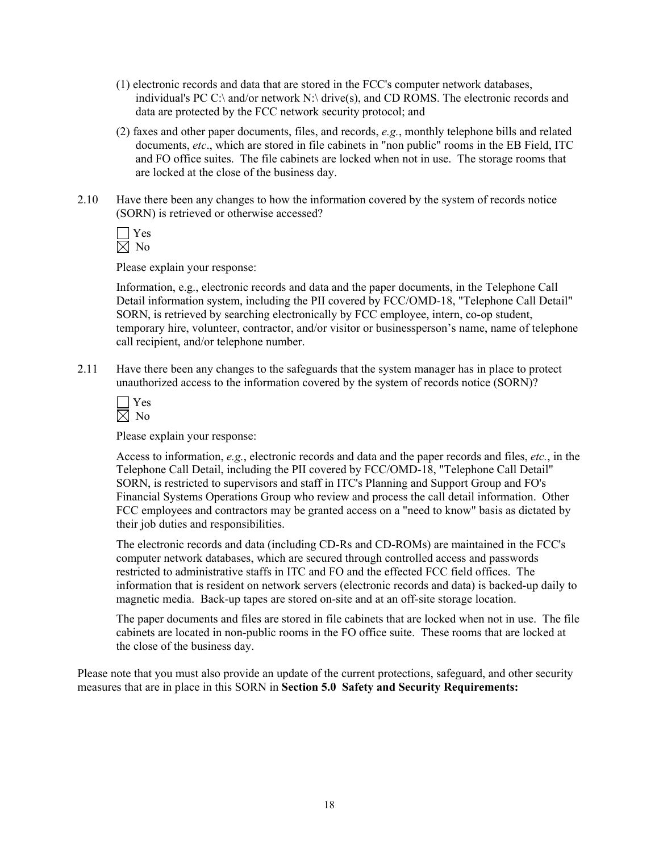- (1) electronic records and data that are stored in the FCC's computer network databases, individual's PC C:\ and/or network N:\ drive(s), and CD ROMS. The electronic records and data are protected by the FCC network security protocol; and
- (2) faxes and other paper documents, files, and records, *e.g.*, monthly telephone bills and related documents, *etc*., which are stored in file cabinets in "non public" rooms in the EB Field, ITC and FO office suites. The file cabinets are locked when not in use. The storage rooms that are locked at the close of the business day.
- 2.10 Have there been any changes to how the information covered by the system of records notice (SORN) is retrieved or otherwise accessed?

Please explain your response:

Information, e.g., electronic records and data and the paper documents, in the Telephone Call Detail information system, including the PII covered by FCC/OMD-18, "Telephone Call Detail" SORN, is retrieved by searching electronically by FCC employee, intern, co-op student, temporary hire, volunteer, contractor, and/or visitor or businessperson's name, name of telephone call recipient, and/or telephone number.

2.11 Have there been any changes to the safeguards that the system manager has in place to protect unauthorized access to the information covered by the system of records notice (SORN)?

Please explain your response:

Access to information, *e.g.*, electronic records and data and the paper records and files, *etc.*, in the Telephone Call Detail, including the PII covered by FCC/OMD-18, "Telephone Call Detail" SORN, is restricted to supervisors and staff in ITC's Planning and Support Group and FO's Financial Systems Operations Group who review and process the call detail information. Other FCC employees and contractors may be granted access on a "need to know" basis as dictated by their job duties and responsibilities.

The electronic records and data (including CD-Rs and CD-ROMs) are maintained in the FCC's computer network databases, which are secured through controlled access and passwords restricted to administrative staffs in ITC and FO and the effected FCC field offices. The information that is resident on network servers (electronic records and data) is backed-up daily to magnetic media. Back-up tapes are stored on-site and at an off-site storage location.

The paper documents and files are stored in file cabinets that are locked when not in use. The file cabinets are located in non-public rooms in the FO office suite. These rooms that are locked at the close of the business day.

Please note that you must also provide an update of the current protections, safeguard, and other security measures that are in place in this SORN in **Section 5.0 Safety and Security Requirements:**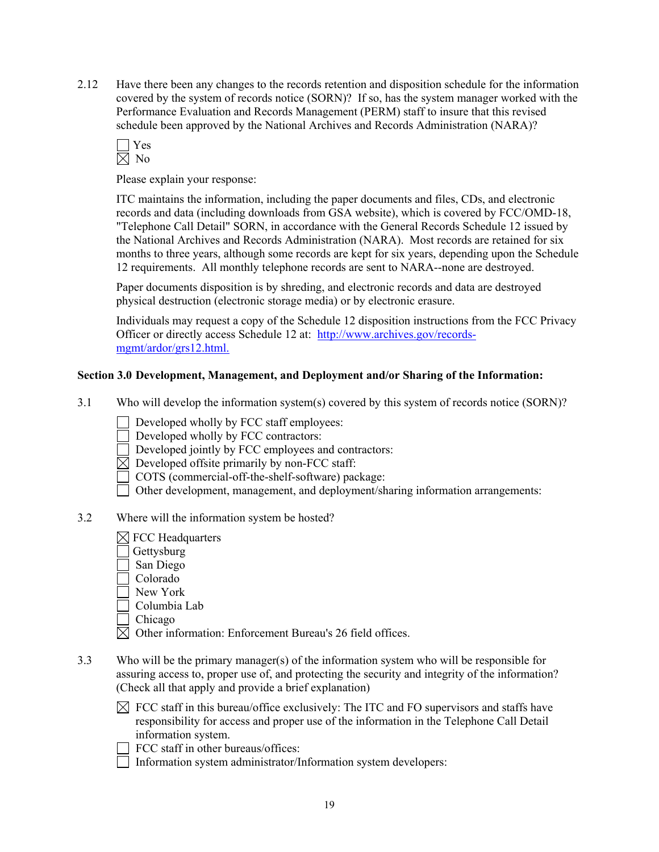2.12 Have there been any changes to the records retention and disposition schedule for the information covered by the system of records notice (SORN)? If so, has the system manager worked with the Performance Evaluation and Records Management (PERM) staff to insure that this revised schedule been approved by the National Archives and Records Administration (NARA)?



Please explain your response:

 ITC maintains the information, including the paper documents and files, CDs, and electronic records and data (including downloads from GSA website), which is covered by FCC/OMD-18, "Telephone Call Detail" SORN, in accordance with the General Records Schedule 12 issued by the National Archives and Records Administration (NARA). Most records are retained for six months to three years, although some records are kept for six years, depending upon the Schedule 12 requirements. All monthly telephone records are sent to NARA--none are destroyed.

Paper documents disposition is by shreding, and electronic records and data are destroyed physical destruction (electronic storage media) or by electronic erasure.

Individuals may request a copy of the Schedule 12 disposition instructions from the FCC Privacy Officer or directly access Schedule 12 at: http://www.archives.gov/recordsmgmt/ardor/grs12.html.

## **Section 3.0 Development, Management, and Deployment and/or Sharing of the Information:**

- 3.1 Who will develop the information system(s) covered by this system of records notice (SORN)?
	- $\Box$  Developed wholly by FCC staff employees:
	- Developed wholly by FCC contractors:
	- Developed jointly by FCC employees and contractors:
	- $\boxtimes$  Developed offsite primarily by non-FCC staff:
	- COTS (commercial-off-the-shelf-software) package:
	- Other development, management, and deployment/sharing information arrangements:
- 3.2 Where will the information system be hosted?
	- $\boxtimes$  FCC Headquarters
	- Gettysburg
	- San Diego
	- Colorado
	- New York
	- Columbia Lab
	- Chicago

 $\boxtimes$  Other information: Enforcement Bureau's 26 field offices.

- 3.3 Who will be the primary manager(s) of the information system who will be responsible for assuring access to, proper use of, and protecting the security and integrity of the information? (Check all that apply and provide a brief explanation)
	- $\boxtimes$  FCC staff in this bureau/office exclusively: The ITC and FO supervisors and staffs have responsibility for access and proper use of the information in the Telephone Call Detail information system.

FCC staff in other bureaus/offices:

Information system administrator/Information system developers: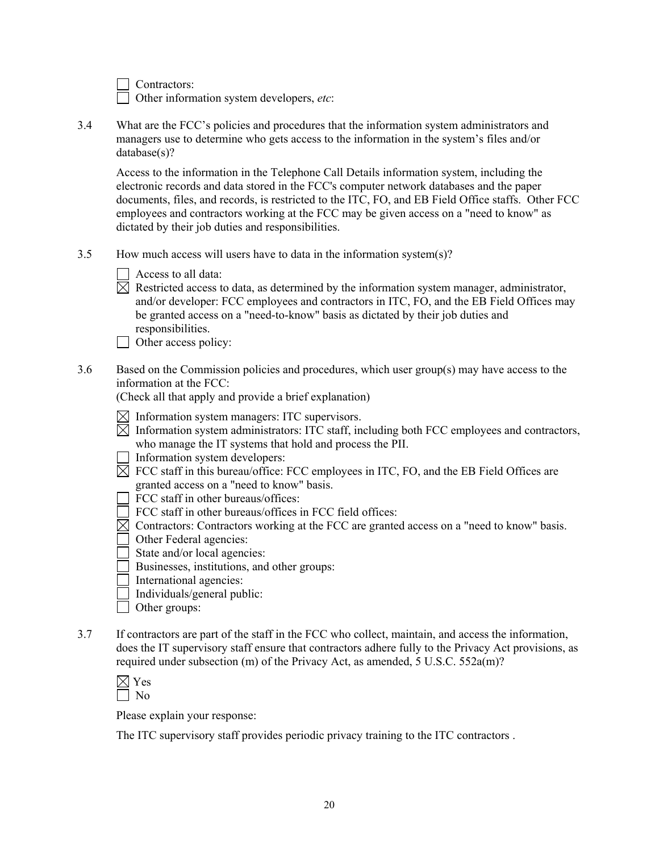Contractors:

Other information system developers, *etc*:

3.4 What are the FCC's policies and procedures that the information system administrators and managers use to determine who gets access to the information in the system's files and/or database(s)?

Access to the information in the Telephone Call Details information system, including the electronic records and data stored in the FCC's computer network databases and the paper documents, files, and records, is restricted to the ITC, FO, and EB Field Office staffs. Other FCC employees and contractors working at the FCC may be given access on a "need to know" as dictated by their job duties and responsibilities.

- 3.5 How much access will users have to data in the information system(s)?
	- Access to all data:
	- $\boxtimes$  Restricted access to data, as determined by the information system manager, administrator, and/or developer: FCC employees and contractors in ITC, FO, and the EB Field Offices may be granted access on a "need-to-know" basis as dictated by their job duties and responsibilities.
	- $\Box$  Other access policy:
- 3.6 Based on the Commission policies and procedures, which user group(s) may have access to the information at the FCC:

(Check all that apply and provide a brief explanation)

- $\boxtimes$  Information system managers: ITC supervisors.
- $\boxtimes$  Information system administrators: ITC staff, including both FCC employees and contractors, who manage the IT systems that hold and process the PII.
- Information system developers:
- $\overline{\boxtimes}$  FCC staff in this bureau/office: FCC employees in ITC, FO, and the EB Field Offices are granted access on a "need to know" basis.
- $\Box$  FCC staff in other bureaus/offices:
- FCC staff in other bureaus/offices in FCC field offices:
- $\boxtimes$  Contractors: Contractors working at the FCC are granted access on a "need to know" basis.
- Other Federal agencies:
- State and/or local agencies:
- Businesses, institutions, and other groups:
- $\Box$  International agencies:
- Individuals/general public:
- **Other groups:**
- 3.7 If contractors are part of the staff in the FCC who collect, maintain, and access the information, does the IT supervisory staff ensure that contractors adhere fully to the Privacy Act provisions, as required under subsection (m) of the Privacy Act, as amended, 5 U.S.C. 552a(m)?



Please explain your response:

The ITC supervisory staff provides periodic privacy training to the ITC contractors .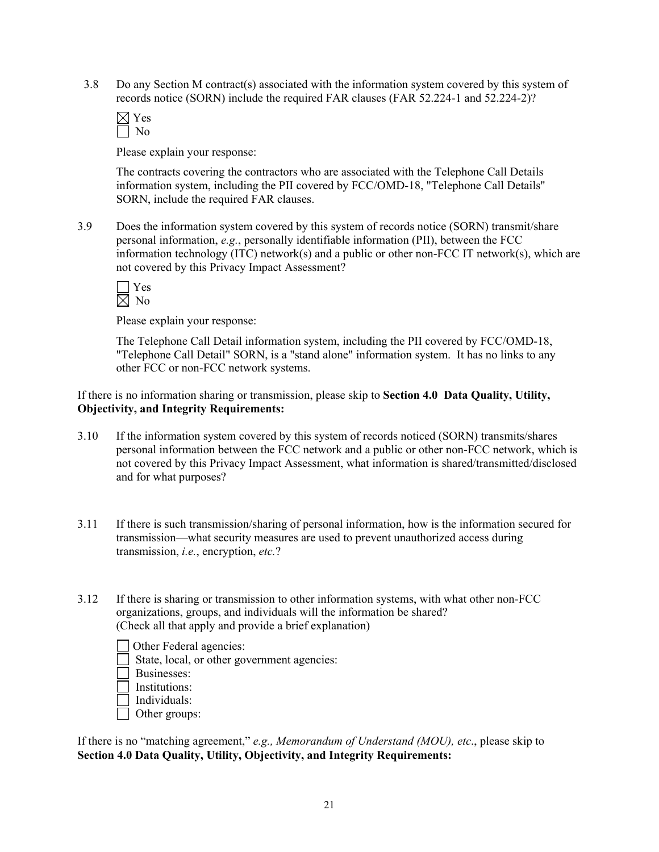3.8 Do any Section M contract(s) associated with the information system covered by this system of records notice (SORN) include the required FAR clauses (FAR 52.224-1 and 52.224-2)?

Please explain your response:

The contracts covering the contractors who are associated with the Telephone Call Details information system, including the PII covered by FCC/OMD-18, "Telephone Call Details" SORN, include the required FAR clauses.

3.9 Does the information system covered by this system of records notice (SORN) transmit/share personal information, *e.g.*, personally identifiable information (PII), between the FCC information technology (ITC) network(s) and a public or other non-FCC IT network(s), which are not covered by this Privacy Impact Assessment?

Please explain your response:

The Telephone Call Detail information system, including the PII covered by FCC/OMD-18, "Telephone Call Detail" SORN, is a "stand alone" information system. It has no links to any other FCC or non-FCC network systems.

If there is no information sharing or transmission, please skip to **Section 4.0 Data Quality, Utility, Objectivity, and Integrity Requirements:**

- 3.10 If the information system covered by this system of records noticed (SORN) transmits/shares personal information between the FCC network and a public or other non-FCC network, which is not covered by this Privacy Impact Assessment, what information is shared/transmitted/disclosed and for what purposes?
- 3.11 If there is such transmission/sharing of personal information, how is the information secured for transmission—what security measures are used to prevent unauthorized access during transmission, *i.e.*, encryption, *etc.*?
- 3.12 If there is sharing or transmission to other information systems, with what other non-FCC organizations, groups, and individuals will the information be shared? (Check all that apply and provide a brief explanation)
	- Other Federal agencies: State, local, or other government agencies: Businesses:
	- Institutions:
	- Individuals:
	- Other groups:

If there is no "matching agreement," *e.g., Memorandum of Understand (MOU), etc*., please skip to **Section 4.0 Data Quality, Utility, Objectivity, and Integrity Requirements:**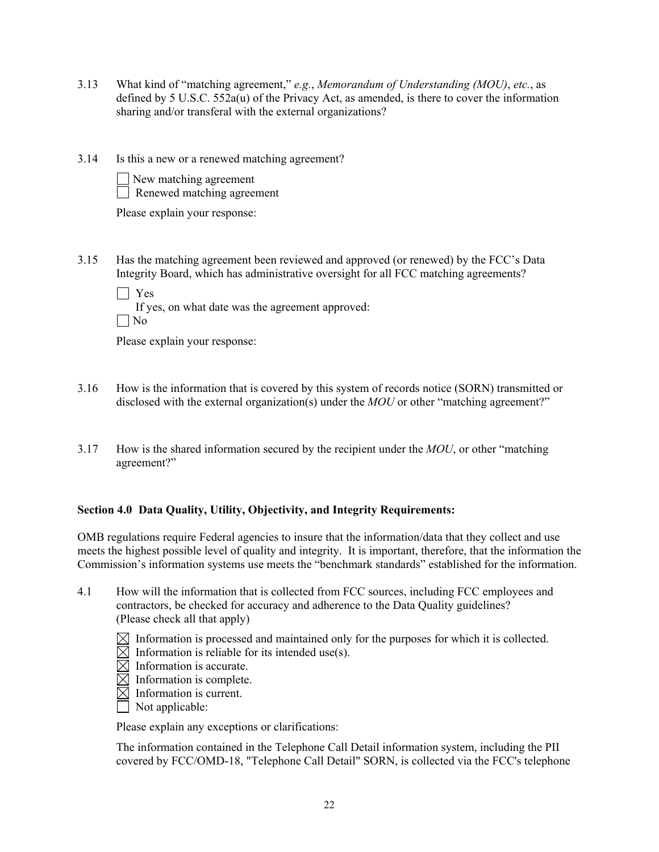- 3.13 What kind of "matching agreement," *e.g.*, *Memorandum of Understanding (MOU)*, *etc.*, as defined by 5 U.S.C. 552a(u) of the Privacy Act, as amended, is there to cover the information sharing and/or transferal with the external organizations?
- 3.14 Is this a new or a renewed matching agreement?
	- New matching agreement Renewed matching agreement

Please explain your response:

- 3.15 Has the matching agreement been reviewed and approved (or renewed) by the FCC's Data Integrity Board, which has administrative oversight for all FCC matching agreements?
	- Yes

If yes, on what date was the agreement approved:

| | No

Please explain your response:

- 3.16 How is the information that is covered by this system of records notice (SORN) transmitted or disclosed with the external organization(s) under the *MOU* or other "matching agreement?"
- 3.17 How is the shared information secured by the recipient under the *MOU*, or other "matching agreement?"

## **Section 4.0 Data Quality, Utility, Objectivity, and Integrity Requirements:**

OMB regulations require Federal agencies to insure that the information/data that they collect and use meets the highest possible level of quality and integrity. It is important, therefore, that the information the Commission's information systems use meets the "benchmark standards" established for the information.

- 4.1 How will the information that is collected from FCC sources, including FCC employees and contractors, be checked for accuracy and adherence to the Data Quality guidelines? (Please check all that apply)
	- $\boxtimes$  Information is processed and maintained only for the purposes for which it is collected.
	- $\boxtimes$  Information is reliable for its intended use(s).
	- $\boxtimes$  Information is accurate.
	- $\boxtimes$  Information is complete.
	- $\boxtimes$  Information is current.
	- $\Box$  Not applicable:

Please explain any exceptions or clarifications:

The information contained in the Telephone Call Detail information system, including the PII covered by FCC/OMD-18, "Telephone Call Detail" SORN, is collected via the FCC's telephone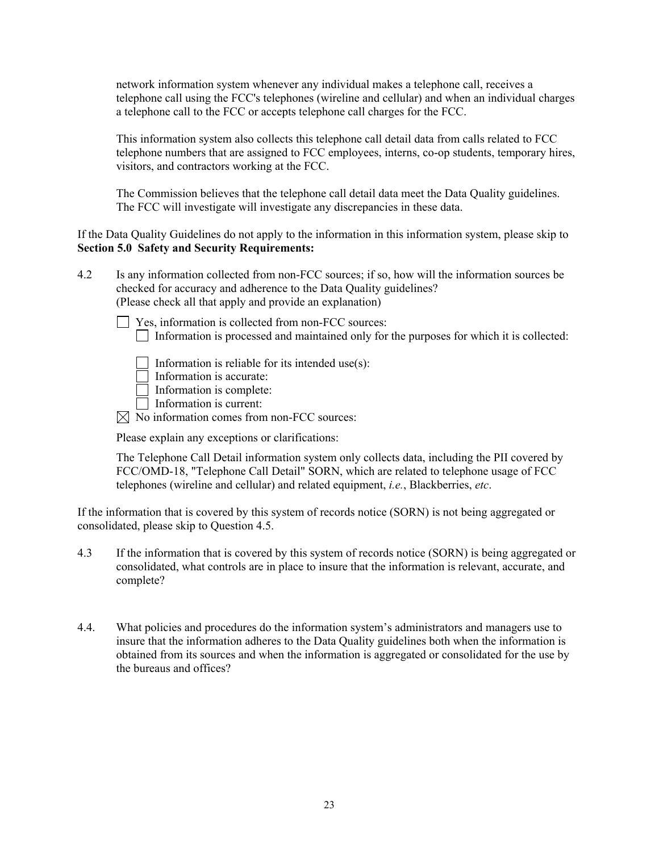network information system whenever any individual makes a telephone call, receives a telephone call using the FCC's telephones (wireline and cellular) and when an individual charges a telephone call to the FCC or accepts telephone call charges for the FCC.

This information system also collects this telephone call detail data from calls related to FCC telephone numbers that are assigned to FCC employees, interns, co-op students, temporary hires, visitors, and contractors working at the FCC.

The Commission believes that the telephone call detail data meet the Data Quality guidelines. The FCC will investigate will investigate any discrepancies in these data.

If the Data Quality Guidelines do not apply to the information in this information system, please skip to **Section 5.0 Safety and Security Requirements:** 

- 4.2 Is any information collected from non-FCC sources; if so, how will the information sources be checked for accuracy and adherence to the Data Quality guidelines? (Please check all that apply and provide an explanation)
	- □ Yes, information is collected from non-FCC sources: Information is processed and maintained only for the purposes for which it is collected:

Information is reliable for its intended use $(s)$ :

- $\Box$  Information is accurate:
- $\Box$  Information is complete:
- $\Box$  Information is current:

 $\boxtimes$  No information comes from non-FCC sources:

Please explain any exceptions or clarifications:

The Telephone Call Detail information system only collects data, including the PII covered by FCC/OMD-18, "Telephone Call Detail" SORN, which are related to telephone usage of FCC telephones (wireline and cellular) and related equipment, *i.e.*, Blackberries, *etc*.

If the information that is covered by this system of records notice (SORN) is not being aggregated or consolidated, please skip to Question 4.5.

- 4.3 If the information that is covered by this system of records notice (SORN) is being aggregated or consolidated, what controls are in place to insure that the information is relevant, accurate, and complete?
- 4.4. What policies and procedures do the information system's administrators and managers use to insure that the information adheres to the Data Quality guidelines both when the information is obtained from its sources and when the information is aggregated or consolidated for the use by the bureaus and offices?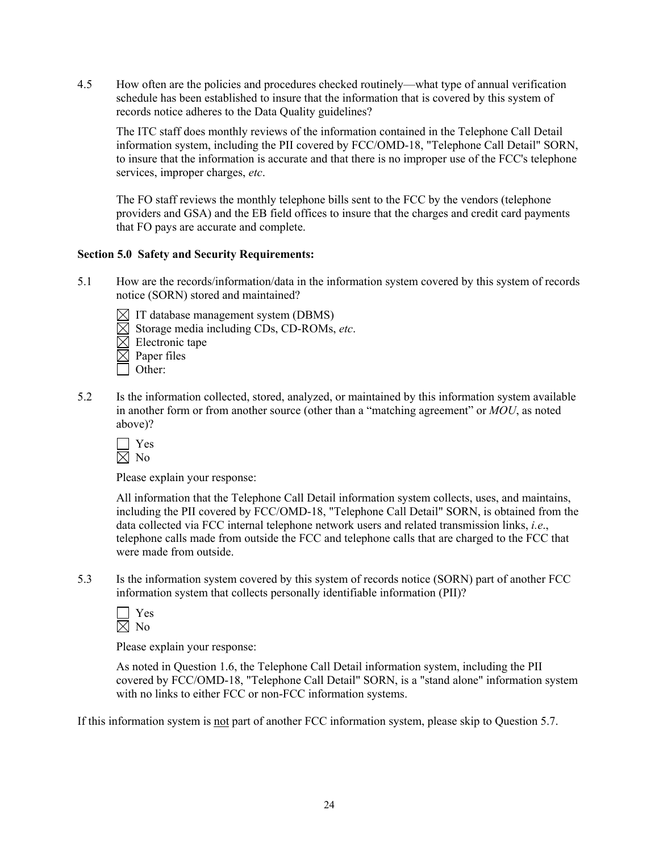4.5 How often are the policies and procedures checked routinely—what type of annual verification schedule has been established to insure that the information that is covered by this system of records notice adheres to the Data Quality guidelines?

The ITC staff does monthly reviews of the information contained in the Telephone Call Detail information system, including the PII covered by FCC/OMD-18, "Telephone Call Detail" SORN, to insure that the information is accurate and that there is no improper use of the FCC's telephone services, improper charges, *etc*.

The FO staff reviews the monthly telephone bills sent to the FCC by the vendors (telephone providers and GSA) and the EB field offices to insure that the charges and credit card payments that FO pays are accurate and complete.

## **Section 5.0 Safety and Security Requirements:**

- 5.1 How are the records/information/data in the information system covered by this system of records notice (SORN) stored and maintained?
	- $\boxtimes$  IT database management system (DBMS)
	- $\boxtimes$  Storage media including CDs, CD-ROMs, *etc.*
	- Electronic tape
	- Paper files
	- Other:
- 5.2 Is the information collected, stored, analyzed, or maintained by this information system available in another form or from another source (other than a "matching agreement" or *MOU*, as noted above)?

| ۰<br>r |
|--------|
|        |

Please explain your response:

All information that the Telephone Call Detail information system collects, uses, and maintains, including the PII covered by FCC/OMD-18, "Telephone Call Detail" SORN, is obtained from the data collected via FCC internal telephone network users and related transmission links, *i.e*., telephone calls made from outside the FCC and telephone calls that are charged to the FCC that were made from outside.

5.3 Is the information system covered by this system of records notice (SORN) part of another FCC information system that collects personally identifiable information (PII)?

 Yes  $\boxtimes$  No

Please explain your response:

As noted in Question 1.6, the Telephone Call Detail information system, including the PII covered by FCC/OMD-18, "Telephone Call Detail" SORN, is a "stand alone" information system with no links to either FCC or non-FCC information systems.

If this information system is not part of another FCC information system, please skip to Question 5.7.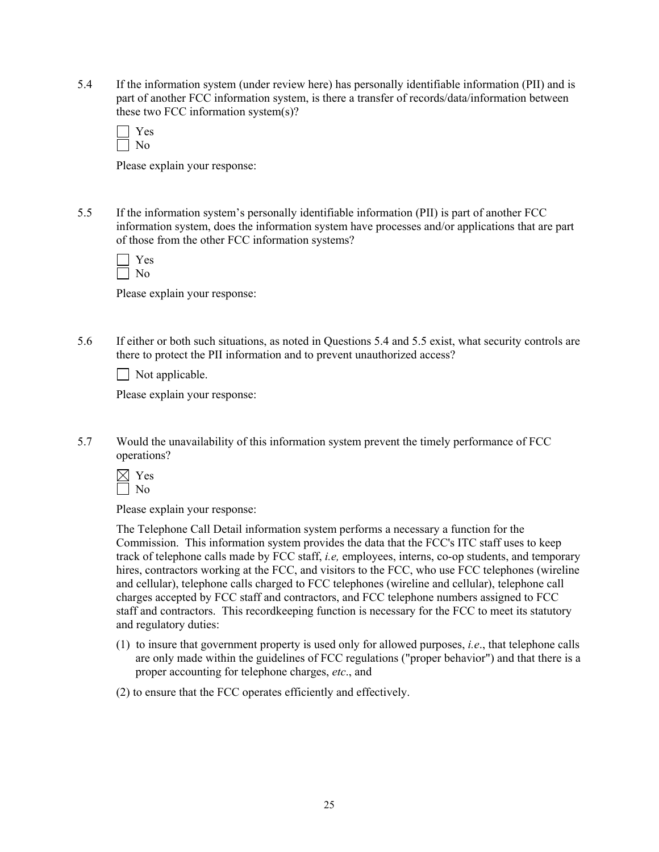5.4 If the information system (under review here) has personally identifiable information (PII) and is part of another FCC information system, is there a transfer of records/data/information between these two FCC information system(s)?

Please explain your response:

5.5 If the information system's personally identifiable information (PII) is part of another FCC information system, does the information system have processes and/or applications that are part of those from the other FCC information systems?

| ٠ |
|---|
|   |

Please explain your response:

5.6 If either or both such situations, as noted in Questions 5.4 and 5.5 exist, what security controls are there to protect the PII information and to prevent unauthorized access?

 $\Box$  Not applicable.

Please explain your response:

5.7 Would the unavailability of this information system prevent the timely performance of FCC operations?



Please explain your response:

The Telephone Call Detail information system performs a necessary a function for the Commission. This information system provides the data that the FCC's ITC staff uses to keep track of telephone calls made by FCC staff, *i.e,* employees, interns, co-op students, and temporary hires, contractors working at the FCC, and visitors to the FCC, who use FCC telephones (wireline and cellular), telephone calls charged to FCC telephones (wireline and cellular), telephone call charges accepted by FCC staff and contractors, and FCC telephone numbers assigned to FCC staff and contractors. This recordkeeping function is necessary for the FCC to meet its statutory and regulatory duties:

- (1) to insure that government property is used only for allowed purposes, *i.e*., that telephone calls are only made within the guidelines of FCC regulations ("proper behavior") and that there is a proper accounting for telephone charges, *etc*., and
- (2) to ensure that the FCC operates efficiently and effectively.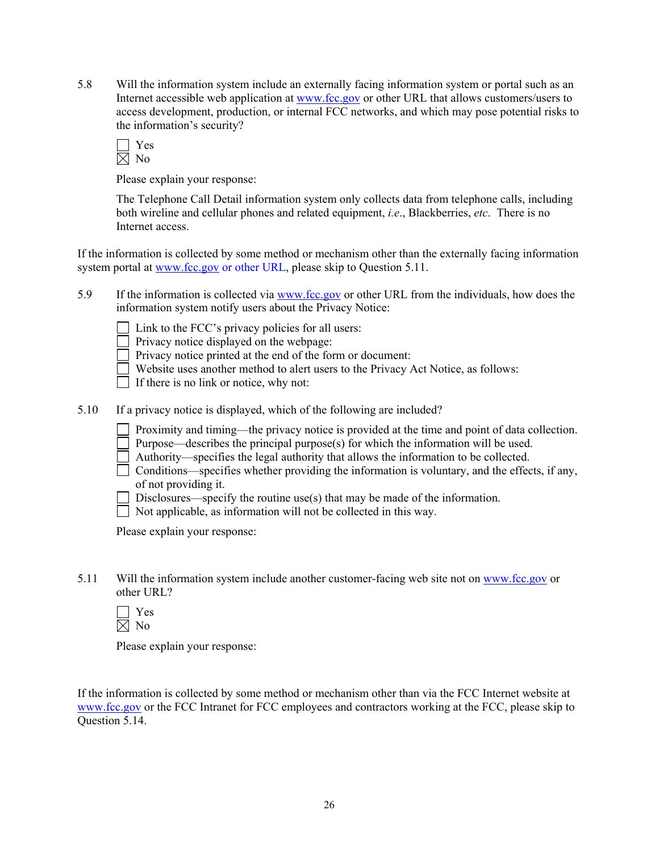5.8 Will the information system include an externally facing information system or portal such as an Internet accessible web application at www.fcc.gov or other URL that allows customers/users to access development, production, or internal FCC networks, and which may pose potential risks to the information's security?



Please explain your response:

The Telephone Call Detail information system only collects data from telephone calls, including both wireline and cellular phones and related equipment, *i.e*., Blackberries, *etc*. There is no Internet access.

If the information is collected by some method or mechanism other than the externally facing information system portal at www.fcc.gov or other URL, please skip to Question 5.11.

5.9 If the information is collected via www.fcc.gov or other URL from the individuals, how does the information system notify users about the Privacy Notice:

 $\Box$  Link to the FCC's privacy policies for all users:

Privacy notice displayed on the webpage:

Privacy notice printed at the end of the form or document:

Website uses another method to alert users to the Privacy Act Notice, as follows:

 $\Box$  If there is no link or notice, why not:

- 5.10 If a privacy notice is displayed, which of the following are included?
	- Proximity and timing—the privacy notice is provided at the time and point of data collection.
	- Purpose—describes the principal purpose(s) for which the information will be used.
	- Authority—specifies the legal authority that allows the information to be collected.
	- Conditions—specifies whether providing the information is voluntary, and the effects, if any, of not providing it.
	- $\Box$  Disclosures—specify the routine use(s) that may be made of the information.

 $\Box$  Not applicable, as information will not be collected in this way.

Please explain your response:

- 5.11 Will the information system include another customer-facing web site not on www.fcc.gov or other URL?
	- Yes  $\boxtimes$  No

Please explain your response:

If the information is collected by some method or mechanism other than via the FCC Internet website at www.fcc.gov or the FCC Intranet for FCC employees and contractors working at the FCC, please skip to Question 5.14.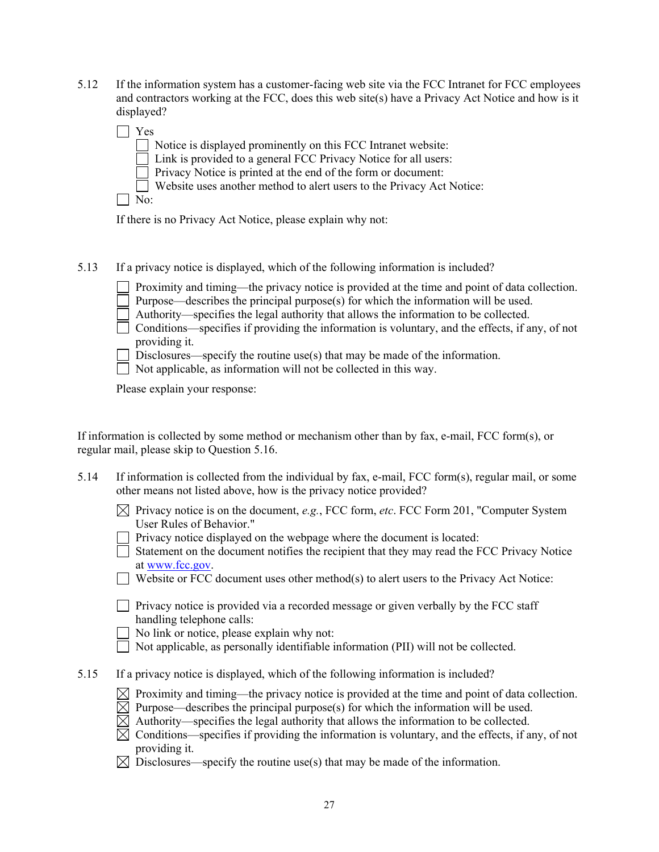5.12 If the information system has a customer-facing web site via the FCC Intranet for FCC employees and contractors working at the FCC, does this web site(s) have a Privacy Act Notice and how is it displayed?

| Yes                                                                          |
|------------------------------------------------------------------------------|
| $\Box$ Notice is displayed prominently on this FCC Intranet website:         |
| $\Box$ Link is provided to a general FCC Privacy Notice for all users:       |
| $\Box$ Privacy Notice is printed at the end of the form or document:         |
| $\Box$ Website uses another method to alert users to the Privacy Act Notice: |
| $\text{No}^{\cdot}$                                                          |

If there is no Privacy Act Notice, please explain why not:

5.13 If a privacy notice is displayed, which of the following information is included?

- Purpose—describes the principal purpose(s) for which the information will be used.
- Authority—specifies the legal authority that allows the information to be collected.
- $\Box$  Conditions—specifies if providing the information is voluntary, and the effects, if any, of not providing it.
- Disclosures—specify the routine use(s) that may be made of the information.

 $\Box$  Not applicable, as information will not be collected in this way.

Please explain your response:

| If information is collected by some method or mechanism other than by fax, e-mail, FCC form(s), or |  |
|----------------------------------------------------------------------------------------------------|--|
| regular mail, please skip to Question 5.16.                                                        |  |

- 5.14 If information is collected from the individual by fax, e-mail, FCC form(s), regular mail, or some other means not listed above, how is the privacy notice provided?
	- $\boxtimes$  Privacy notice is on the document, *e.g.*, FCC form, *etc.* FCC Form 201, "Computer System User Rules of Behavior."
	- $\Box$  Privacy notice displayed on the webpage where the document is located:

 $\Box$  Statement on the document notifies the recipient that they may read the FCC Privacy Notice at www.fcc.gov.

- Website or FCC document uses other method(s) to alert users to the Privacy Act Notice:
- $\Box$  Privacy notice is provided via a recorded message or given verbally by the FCC staff handling telephone calls:
- No link or notice, please explain why not:
- $\Box$  Not applicable, as personally identifiable information (PII) will not be collected.
- 5.15 If a privacy notice is displayed, which of the following information is included?
	- $\boxtimes$  Proximity and timing—the privacy notice is provided at the time and point of data collection.
	- $\boxtimes$  Purpose—describes the principal purpose(s) for which the information will be used.
	- $\boxtimes$  Authority—specifies the legal authority that allows the information to be collected.
	- $\boxtimes$  Conditions—specifies if providing the information is voluntary, and the effects, if any, of not providing it.
	- $\boxtimes$  Disclosures—specify the routine use(s) that may be made of the information.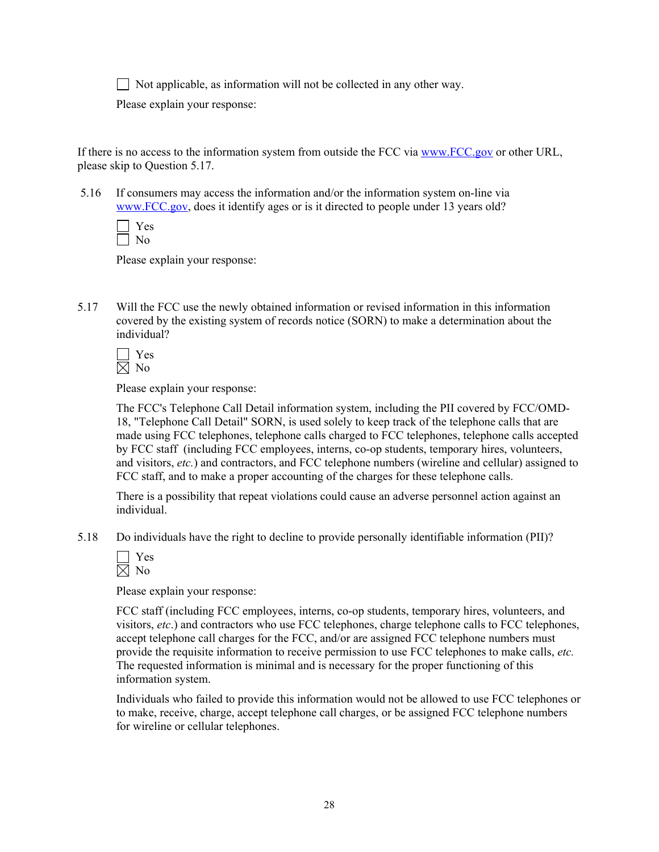$\Box$  Not applicable, as information will not be collected in any other way.

Please explain your response:

If there is no access to the information system from outside the FCC via www.FCC.gov or other URL, please skip to Question 5.17.

 5.16 If consumers may access the information and/or the information system on-line via www.FCC.gov, does it identify ages or is it directed to people under 13 years old?

Please explain your response:

5.17 Will the FCC use the newly obtained information or revised information in this information covered by the existing system of records notice (SORN) to make a determination about the individual?

Please explain your response:

The FCC's Telephone Call Detail information system, including the PII covered by FCC/OMD-18, "Telephone Call Detail" SORN, is used solely to keep track of the telephone calls that are made using FCC telephones, telephone calls charged to FCC telephones, telephone calls accepted by FCC staff (including FCC employees, interns, co-op students, temporary hires, volunteers, and visitors, *etc.*) and contractors, and FCC telephone numbers (wireline and cellular) assigned to FCC staff, and to make a proper accounting of the charges for these telephone calls.

There is a possibility that repeat violations could cause an adverse personnel action against an individual.

5.18 Do individuals have the right to decline to provide personally identifiable information (PII)?

Please explain your response:

FCC staff (including FCC employees, interns, co-op students, temporary hires, volunteers, and visitors, *etc*.) and contractors who use FCC telephones, charge telephone calls to FCC telephones, accept telephone call charges for the FCC, and/or are assigned FCC telephone numbers must provide the requisite information to receive permission to use FCC telephones to make calls, *etc.*  The requested information is minimal and is necessary for the proper functioning of this information system.

Individuals who failed to provide this information would not be allowed to use FCC telephones or to make, receive, charge, accept telephone call charges, or be assigned FCC telephone numbers for wireline or cellular telephones.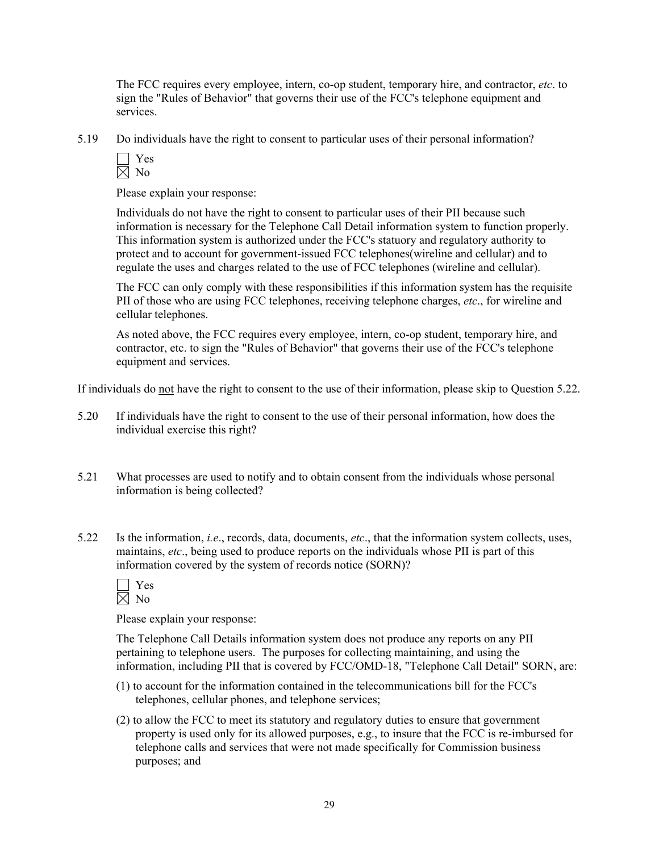The FCC requires every employee, intern, co-op student, temporary hire, and contractor, *etc*. to sign the "Rules of Behavior" that governs their use of the FCC's telephone equipment and services.

5.19 Do individuals have the right to consent to particular uses of their personal information?

Please explain your response:

Individuals do not have the right to consent to particular uses of their PII because such information is necessary for the Telephone Call Detail information system to function properly. This information system is authorized under the FCC's statuory and regulatory authority to protect and to account for government-issued FCC telephones(wireline and cellular) and to regulate the uses and charges related to the use of FCC telephones (wireline and cellular).

The FCC can only comply with these responsibilities if this information system has the requisite PII of those who are using FCC telephones, receiving telephone charges, *etc*., for wireline and cellular telephones.

As noted above, the FCC requires every employee, intern, co-op student, temporary hire, and contractor, etc. to sign the "Rules of Behavior" that governs their use of the FCC's telephone equipment and services.

If individuals do not have the right to consent to the use of their information, please skip to Question 5.22.

- 5.20 If individuals have the right to consent to the use of their personal information, how does the individual exercise this right?
- 5.21 What processes are used to notify and to obtain consent from the individuals whose personal information is being collected?
- 5.22 Is the information, *i.e*., records, data, documents, *etc*., that the information system collects, uses, maintains, *etc*., being used to produce reports on the individuals whose PII is part of this information covered by the system of records notice (SORN)?

Please explain your response:

The Telephone Call Details information system does not produce any reports on any PII pertaining to telephone users. The purposes for collecting maintaining, and using the information, including PII that is covered by FCC/OMD-18, "Telephone Call Detail" SORN, are:

- (1) to account for the information contained in the telecommunications bill for the FCC's telephones, cellular phones, and telephone services;
- (2) to allow the FCC to meet its statutory and regulatory duties to ensure that government property is used only for its allowed purposes, e.g., to insure that the FCC is re-imbursed for telephone calls and services that were not made specifically for Commission business purposes; and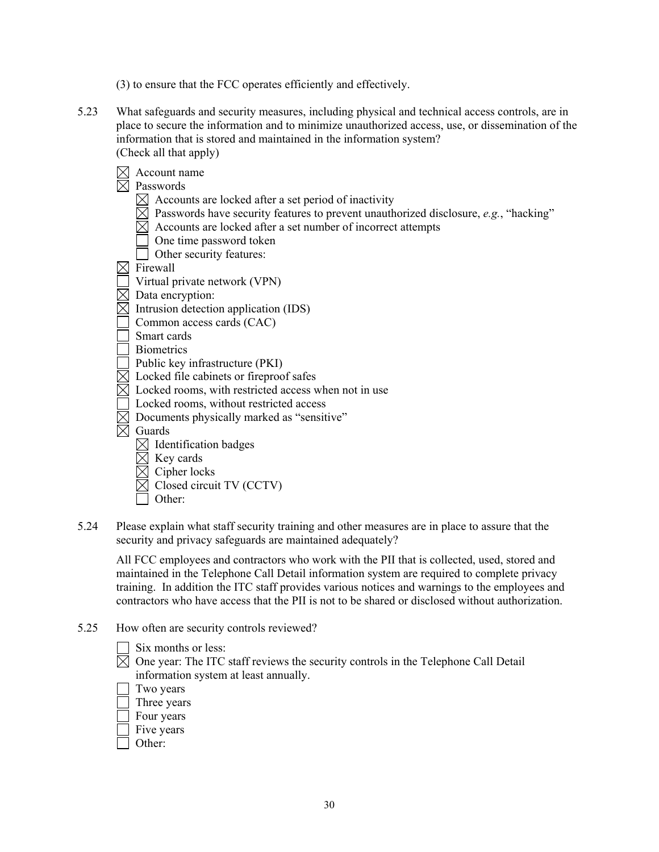- (3) to ensure that the FCC operates efficiently and effectively.
- 5.23 What safeguards and security measures, including physical and technical access controls, are in place to secure the information and to minimize unauthorized access, use, or dissemination of the information that is stored and maintained in the information system? (Check all that apply)

| Account name                                                                                     |
|--------------------------------------------------------------------------------------------------|
| Passwords                                                                                        |
| Accounts are locked after a set period of inactivity                                             |
| $\triangle$ Passwords have security features to prevent unauthorized disclosure, e.g., "hacking" |
| Accounts are locked after a set number of incorrect attempts                                     |
| One time password token                                                                          |
| Other security features:                                                                         |
| Firewall                                                                                         |
| Virtual private network (VPN)                                                                    |
| Data encryption:                                                                                 |
| Intrusion detection application (IDS)                                                            |
| Common access cards (CAC)                                                                        |
| Smart cards                                                                                      |
| <b>Biometrics</b>                                                                                |
| Public key infrastructure (PKI)                                                                  |
| Locked file cabinets or fireproof safes                                                          |
| Locked rooms, with restricted access when not in use                                             |
| Locked rooms, without restricted access                                                          |
| Documents physically marked as "sensitive"                                                       |
| Guards                                                                                           |
| Identification badges                                                                            |
| Key cards                                                                                        |
| Cipher locks                                                                                     |
| Closed circuit TV (CCTV)                                                                         |
| Other:                                                                                           |
|                                                                                                  |

5.24 Please explain what staff security training and other measures are in place to assure that the security and privacy safeguards are maintained adequately?

 All FCC employees and contractors who work with the PII that is collected, used, stored and maintained in the Telephone Call Detail information system are required to complete privacy training. In addition the ITC staff provides various notices and warnings to the employees and contractors who have access that the PII is not to be shared or disclosed without authorization.

- 5.25 How often are security controls reviewed?
	- $\Box$  Six months or less:

 $\overline{\boxtimes}$  One year: The ITC staff reviews the security controls in the Telephone Call Detail information system at least annually.

- $\Box$  Two years Three years
- Four years
- Five years
- Other: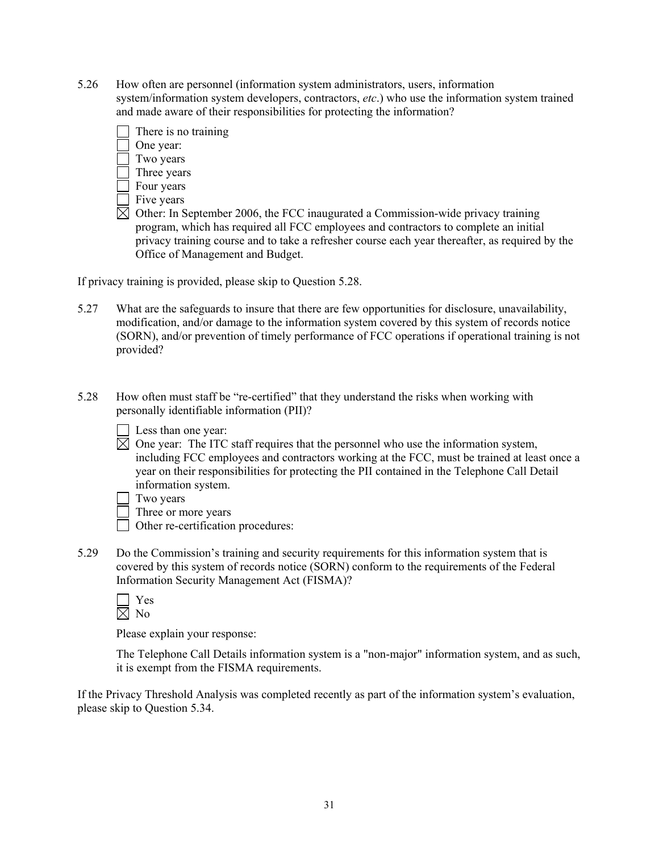5.26 How often are personnel (information system administrators, users, information system/information system developers, contractors, *etc*.) who use the information system trained and made aware of their responsibilities for protecting the information?



 $\boxtimes$  Other: In September 2006, the FCC inaugurated a Commission-wide privacy training program, which has required all FCC employees and contractors to complete an initial privacy training course and to take a refresher course each year thereafter, as required by the Office of Management and Budget.

If privacy training is provided, please skip to Question 5.28.

- 5.27 What are the safeguards to insure that there are few opportunities for disclosure, unavailability, modification, and/or damage to the information system covered by this system of records notice (SORN), and/or prevention of timely performance of FCC operations if operational training is not provided?
- 5.28 How often must staff be "re-certified" that they understand the risks when working with personally identifiable information (PII)?
	- $\Box$  Less than one year:
	- $\boxtimes$  One year: The ITC staff requires that the personnel who use the information system, including FCC employees and contractors working at the FCC, must be trained at least once a year on their responsibilities for protecting the PII contained in the Telephone Call Detail information system.
	- Two years
	- Three or more years
	- Other re-certification procedures:
- 5.29 Do the Commission's training and security requirements for this information system that is covered by this system of records notice (SORN) conform to the requirements of the Federal Information Security Management Act (FISMA)?

| ═ |
|---|
|   |

Please explain your response:

The Telephone Call Details information system is a "non-major" information system, and as such, it is exempt from the FISMA requirements.

If the Privacy Threshold Analysis was completed recently as part of the information system's evaluation, please skip to Question 5.34.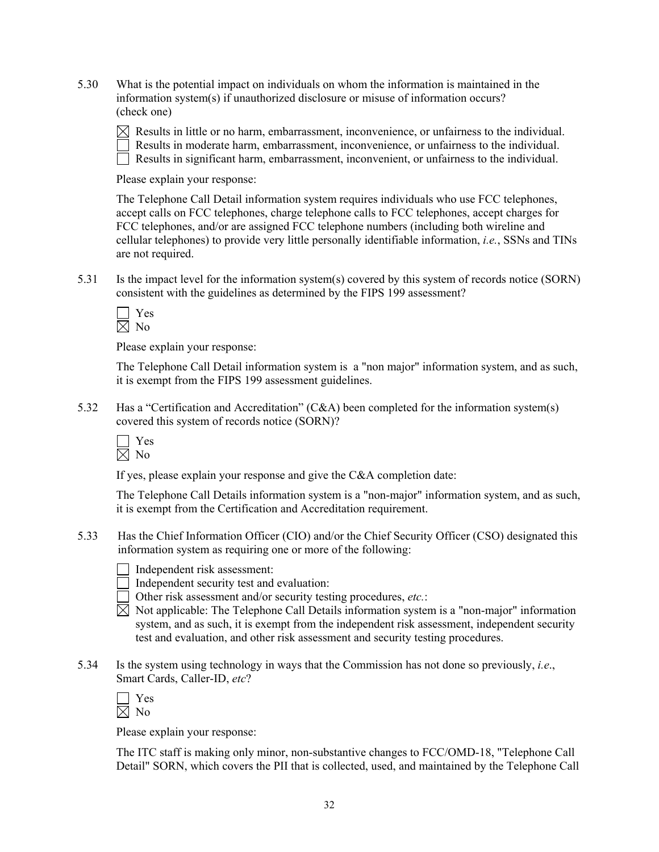5.30 What is the potential impact on individuals on whom the information is maintained in the information system(s) if unauthorized disclosure or misuse of information occurs? (check one)

 $\boxtimes$  Results in little or no harm, embarrassment, inconvenience, or unfairness to the individual. Results in moderate harm, embarrassment, inconvenience, or unfairness to the individual.  $\Box$  Results in significant harm, embarrassment, inconvenient, or unfairness to the individual.

Please explain your response:

The Telephone Call Detail information system requires individuals who use FCC telephones, accept calls on FCC telephones, charge telephone calls to FCC telephones, accept charges for FCC telephones, and/or are assigned FCC telephone numbers (including both wireline and cellular telephones) to provide very little personally identifiable information, *i.e.*, SSNs and TINs are not required.

5.31 Is the impact level for the information system(s) covered by this system of records notice (SORN) consistent with the guidelines as determined by the FIPS 199 assessment?

 Yes  $\overline{\boxtimes}$  No

Please explain your response:

The Telephone Call Detail information system is a "non major" information system, and as such, it is exempt from the FIPS 199 assessment guidelines.

5.32 Has a "Certification and Accreditation" (C&A) been completed for the information system(s) covered this system of records notice (SORN)?

If yes, please explain your response and give the C&A completion date:

The Telephone Call Details information system is a "non-major" information system, and as such, it is exempt from the Certification and Accreditation requirement.

5.33 Has the Chief Information Officer (CIO) and/or the Chief Security Officer (CSO) designated this information system as requiring one or more of the following:

|  | Independent risk assessment: |
|--|------------------------------|
|--|------------------------------|

- Independent security test and evaluation:
- Other risk assessment and/or security testing procedures, *etc.*:
- $\boxtimes$  Not applicable: The Telephone Call Details information system is a "non-major" information system, and as such, it is exempt from the independent risk assessment, independent security test and evaluation, and other risk assessment and security testing procedures.
- 5.34 Is the system using technology in ways that the Commission has not done so previously, *i.e*., Smart Cards, Caller-ID, *etc*?

| Ξ |
|---|
|   |

Please explain your response:

The ITC staff is making only minor, non-substantive changes to FCC/OMD-18, "Telephone Call Detail" SORN, which covers the PII that is collected, used, and maintained by the Telephone Call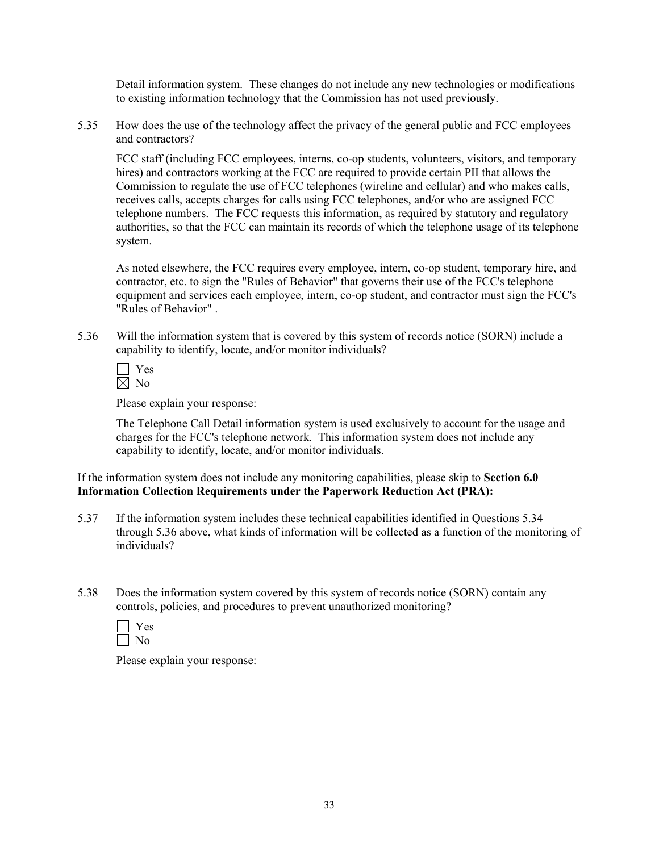Detail information system. These changes do not include any new technologies or modifications to existing information technology that the Commission has not used previously.

5.35 How does the use of the technology affect the privacy of the general public and FCC employees and contractors?

FCC staff (including FCC employees, interns, co-op students, volunteers, visitors, and temporary hires) and contractors working at the FCC are required to provide certain PII that allows the Commission to regulate the use of FCC telephones (wireline and cellular) and who makes calls, receives calls, accepts charges for calls using FCC telephones, and/or who are assigned FCC telephone numbers. The FCC requests this information, as required by statutory and regulatory authorities, so that the FCC can maintain its records of which the telephone usage of its telephone system.

As noted elsewhere, the FCC requires every employee, intern, co-op student, temporary hire, and contractor, etc. to sign the "Rules of Behavior" that governs their use of the FCC's telephone equipment and services each employee, intern, co-op student, and contractor must sign the FCC's "Rules of Behavior" .

5.36 Will the information system that is covered by this system of records notice (SORN) include a capability to identify, locate, and/or monitor individuals?

Please explain your response:

 The Telephone Call Detail information system is used exclusively to account for the usage and charges for the FCC's telephone network. This information system does not include any capability to identify, locate, and/or monitor individuals.

If the information system does not include any monitoring capabilities, please skip to **Section 6.0 Information Collection Requirements under the Paperwork Reduction Act (PRA):** 

- 5.37 If the information system includes these technical capabilities identified in Questions 5.34 through 5.36 above, what kinds of information will be collected as a function of the monitoring of individuals?
- 5.38 Does the information system covered by this system of records notice (SORN) contain any controls, policies, and procedures to prevent unauthorized monitoring?

Please explain your response: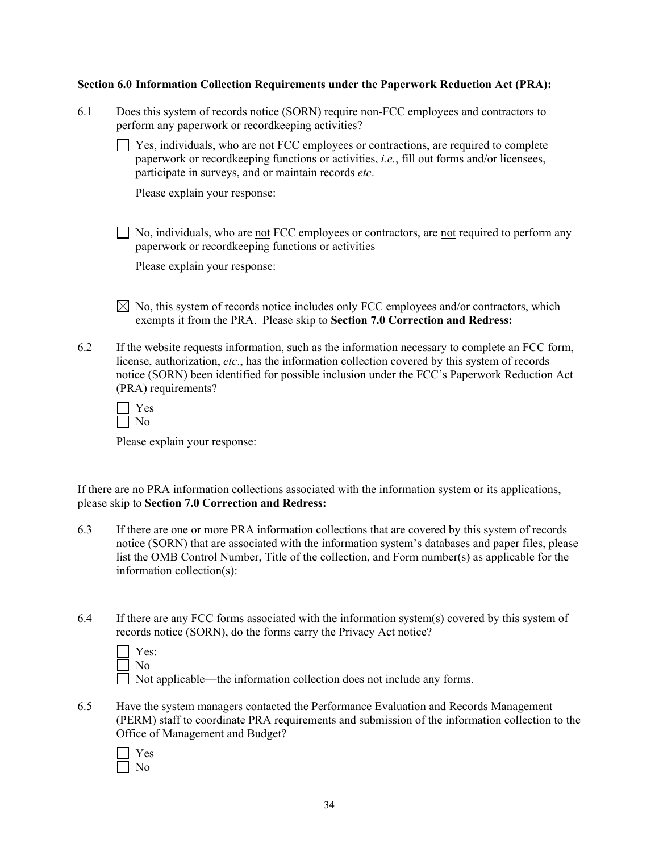#### **Section 6.0 Information Collection Requirements under the Paperwork Reduction Act (PRA):**

- 6.1 Does this system of records notice (SORN) require non-FCC employees and contractors to perform any paperwork or recordkeeping activities?
	- $\Box$  Yes, individuals, who are <u>not</u> FCC employees or contractions, are required to complete paperwork or recordkeeping functions or activities, *i.e.*, fill out forms and/or licensees, participate in surveys, and or maintain records *etc*.

Please explain your response:

 $\Box$  No, individuals, who are not FCC employees or contractors, are not required to perform any paperwork or recordkeeping functions or activities

Please explain your response:

- $\boxtimes$  No, this system of records notice includes only FCC employees and/or contractors, which exempts it from the PRA. Please skip to **Section 7.0 Correction and Redress:**
- 6.2 If the website requests information, such as the information necessary to complete an FCC form, license, authorization, *etc*., has the information collection covered by this system of records notice (SORN) been identified for possible inclusion under the FCC's Paperwork Reduction Act (PRA) requirements?

| ч<br>e |
|--------|
|        |

Please explain your response:

|                                                    | If there are no PRA information collections associated with the information system or its applications, |
|----------------------------------------------------|---------------------------------------------------------------------------------------------------------|
| please skip to Section 7.0 Correction and Redress: |                                                                                                         |

- 6.3 If there are one or more PRA information collections that are covered by this system of records notice (SORN) that are associated with the information system's databases and paper files, please list the OMB Control Number, Title of the collection, and Form number(s) as applicable for the information collection(s):
- 6.4 If there are any FCC forms associated with the information system(s) covered by this system of records notice (SORN), do the forms carry the Privacy Act notice?

| $\Box$ Yes:                                                                  |
|------------------------------------------------------------------------------|
| $\Box$ No                                                                    |
| $\Box$ Not applicable—the information collection does not include any forms. |

6.5 Have the system managers contacted the Performance Evaluation and Records Management (PERM) staff to coordinate PRA requirements and submission of the information collection to the Office of Management and Budget?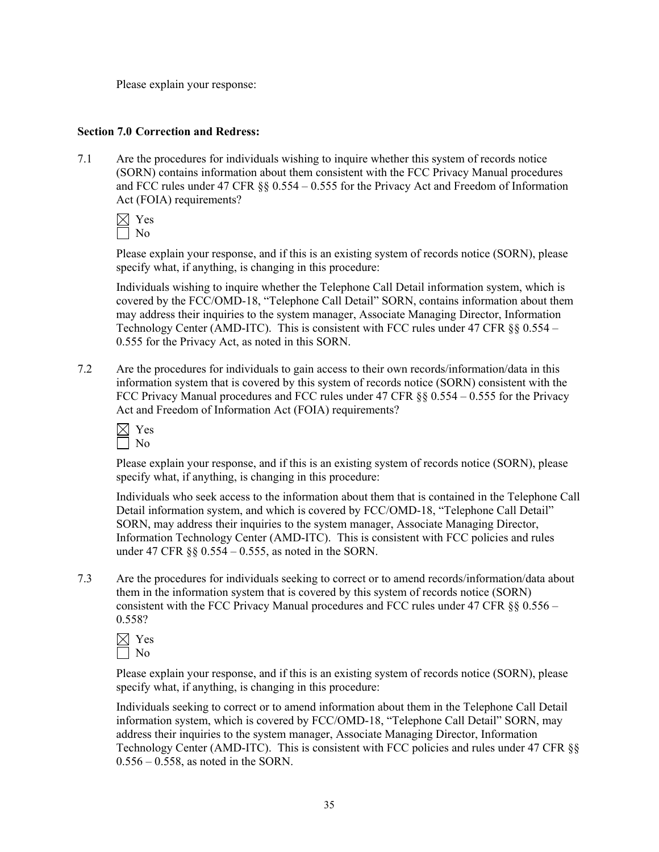Please explain your response:

#### **Section 7.0 Correction and Redress:**

7.1 Are the procedures for individuals wishing to inquire whether this system of records notice (SORN) contains information about them consistent with the FCC Privacy Manual procedures and FCC rules under 47 CFR §§ 0.554 – 0.555 for the Privacy Act and Freedom of Information Act (FOIA) requirements?

 $\boxtimes$  Yes  $\Box$  No

Please explain your response, and if this is an existing system of records notice (SORN), please specify what, if anything, is changing in this procedure:

Individuals wishing to inquire whether the Telephone Call Detail information system, which is covered by the FCC/OMD-18, "Telephone Call Detail" SORN, contains information about them may address their inquiries to the system manager, Associate Managing Director, Information Technology Center (AMD-ITC). This is consistent with FCC rules under 47 CFR  $\S 0.554 -$ 0.555 for the Privacy Act, as noted in this SORN.

7.2 Are the procedures for individuals to gain access to their own records/information/data in this information system that is covered by this system of records notice (SORN) consistent with the FCC Privacy Manual procedures and FCC rules under 47 CFR §§ 0.554 – 0.555 for the Privacy Act and Freedom of Information Act (FOIA) requirements?

Please explain your response, and if this is an existing system of records notice (SORN), please specify what, if anything, is changing in this procedure:

Individuals who seek access to the information about them that is contained in the Telephone Call Detail information system, and which is covered by FCC/OMD-18, "Telephone Call Detail" SORN, may address their inquiries to the system manager, Associate Managing Director, Information Technology Center (AMD-ITC). This is consistent with FCC policies and rules under 47 CFR  $\S$ § 0.554 – 0.555, as noted in the SORN.

7.3 Are the procedures for individuals seeking to correct or to amend records/information/data about them in the information system that is covered by this system of records notice (SORN) consistent with the FCC Privacy Manual procedures and FCC rules under 47 CFR §§ 0.556 – 0.558?



Please explain your response, and if this is an existing system of records notice (SORN), please specify what, if anything, is changing in this procedure:

Individuals seeking to correct or to amend information about them in the Telephone Call Detail information system, which is covered by FCC/OMD-18, "Telephone Call Detail" SORN, may address their inquiries to the system manager, Associate Managing Director, Information Technology Center (AMD-ITC). This is consistent with FCC policies and rules under 47 CFR §§ 0.556 – 0.558, as noted in the SORN.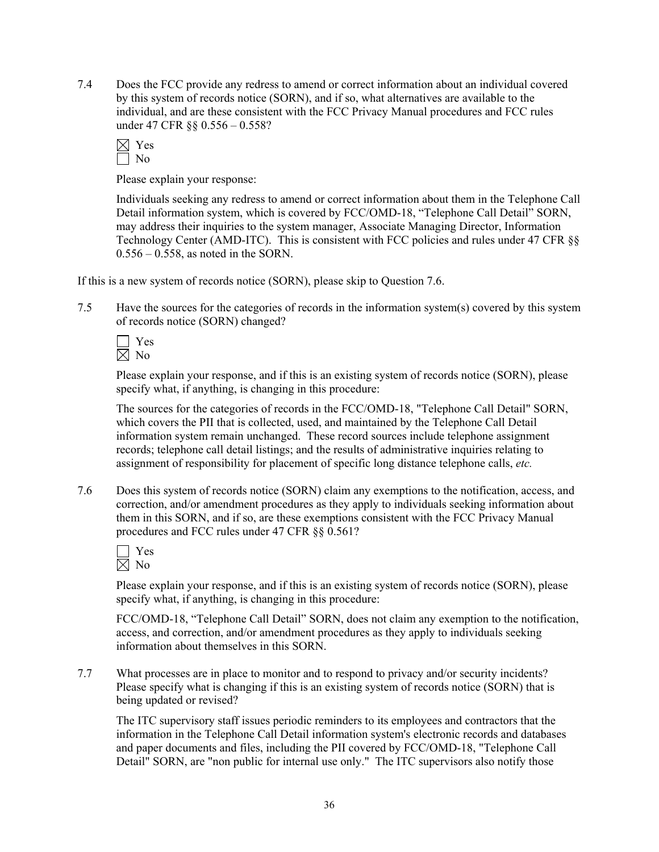7.4 Does the FCC provide any redress to amend or correct information about an individual covered by this system of records notice (SORN), and if so, what alternatives are available to the individual, and are these consistent with the FCC Privacy Manual procedures and FCC rules under 47 CFR §§ 0.556 – 0.558?

Please explain your response:

Individuals seeking any redress to amend or correct information about them in the Telephone Call Detail information system, which is covered by FCC/OMD-18, "Telephone Call Detail" SORN, may address their inquiries to the system manager, Associate Managing Director, Information Technology Center (AMD-ITC). This is consistent with FCC policies and rules under 47 CFR §§ 0.556 – 0.558, as noted in the SORN.

If this is a new system of records notice (SORN), please skip to Question 7.6.

7.5 Have the sources for the categories of records in the information system(s) covered by this system of records notice (SORN) changed?



Please explain your response, and if this is an existing system of records notice (SORN), please specify what, if anything, is changing in this procedure:

 The sources for the categories of records in the FCC/OMD-18, "Telephone Call Detail" SORN, which covers the PII that is collected, used, and maintained by the Telephone Call Detail information system remain unchanged. These record sources include telephone assignment records; telephone call detail listings; and the results of administrative inquiries relating to assignment of responsibility for placement of specific long distance telephone calls, *etc.*

7.6 Does this system of records notice (SORN) claim any exemptions to the notification, access, and correction, and/or amendment procedures as they apply to individuals seeking information about them in this SORN, and if so, are these exemptions consistent with the FCC Privacy Manual procedures and FCC rules under 47 CFR §§ 0.561?

| Ξ |
|---|
| ٦ |

Please explain your response, and if this is an existing system of records notice (SORN), please specify what, if anything, is changing in this procedure:

FCC/OMD-18, "Telephone Call Detail" SORN, does not claim any exemption to the notification, access, and correction, and/or amendment procedures as they apply to individuals seeking information about themselves in this SORN.

7.7 What processes are in place to monitor and to respond to privacy and/or security incidents? Please specify what is changing if this is an existing system of records notice (SORN) that is being updated or revised?

 The ITC supervisory staff issues periodic reminders to its employees and contractors that the information in the Telephone Call Detail information system's electronic records and databases and paper documents and files, including the PII covered by FCC/OMD-18, "Telephone Call Detail" SORN, are "non public for internal use only." The ITC supervisors also notify those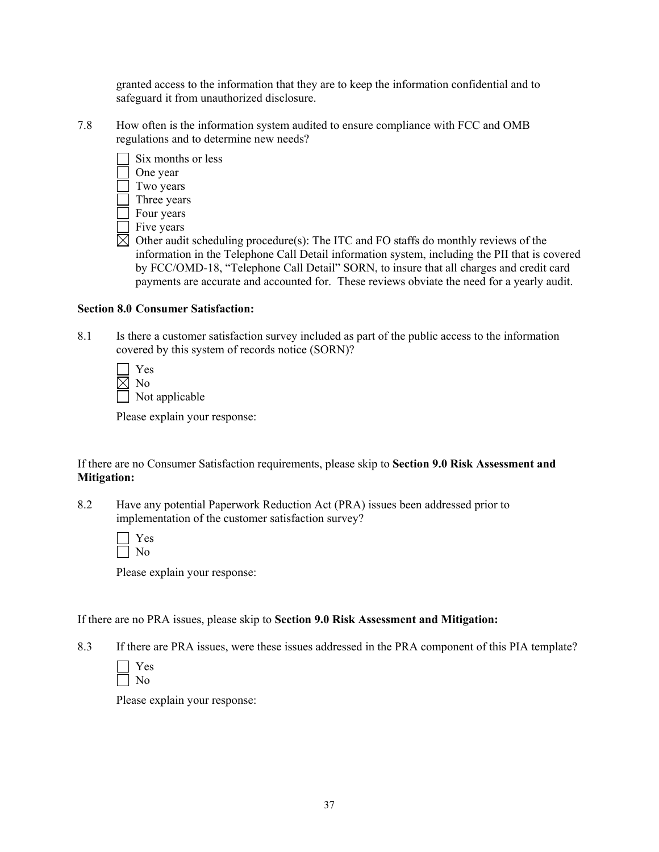granted access to the information that they are to keep the information confidential and to safeguard it from unauthorized disclosure.

7.8 How often is the information system audited to ensure compliance with FCC and OMB regulations and to determine new needs?



 $\boxtimes$  Other audit scheduling procedure(s): The ITC and FO staffs do monthly reviews of the information in the Telephone Call Detail information system, including the PII that is covered by FCC/OMD-18, "Telephone Call Detail" SORN, to insure that all charges and credit card payments are accurate and accounted for. These reviews obviate the need for a yearly audit.

### **Section 8.0 Consumer Satisfaction:**

8.1 Is there a customer satisfaction survey included as part of the public access to the information covered by this system of records notice (SORN)?

| $\blacksquare$ Yes    |
|-----------------------|
| $\boxtimes$ No        |
| $\Box$ Not applicable |

Please explain your response:

If there are no Consumer Satisfaction requirements, please skip to **Section 9.0 Risk Assessment and Mitigation:** 

8.2 Have any potential Paperwork Reduction Act (PRA) issues been addressed prior to implementation of the customer satisfaction survey?

Please explain your response:

If there are no PRA issues, please skip to **Section 9.0 Risk Assessment and Mitigation:** 

8.3 If there are PRA issues, were these issues addressed in the PRA component of this PIA template?

Please explain your response: